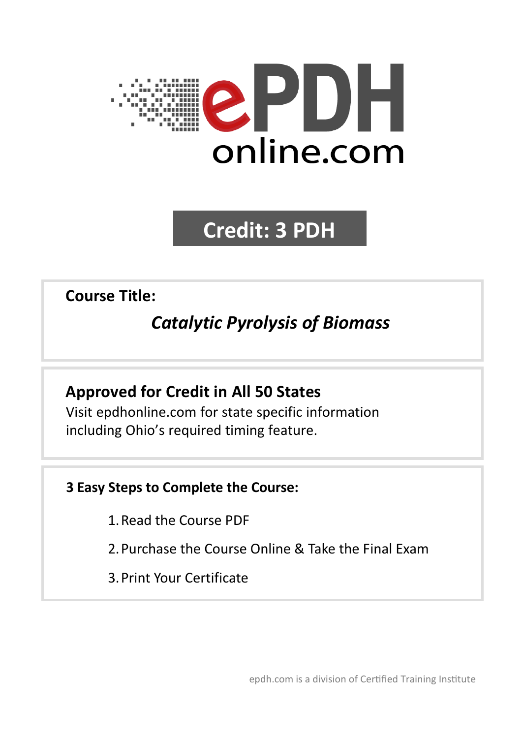

# **Credit: 3 PDH**

**Course Title:**

# *Catalytic Pyrolysis of Biomass*

# **Approved for Credit in All 50 States**

Visit epdhonline.com for state specific information including Ohio's required timing feature.

# **3 Easy Steps to Complete the Course:**

- 1.Read the Course PDF
- 2.Purchase the Course Online & Take the Final Exam
- 3.Print Your Certificate

epdh.com is a division of Certified Training Institute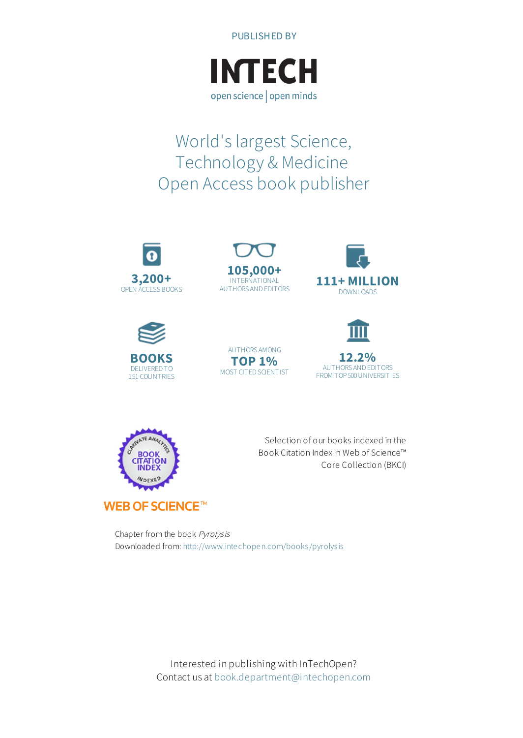



# World's largest Science, Technology & Medicine Open Access book publisher















Selection of our books indexed in the Book Citation Index in Web of Science™ Core Collection (BKCI)

Chapter from the book Pyrolysis Downloaded from: <http://www.intechopen.com/books/pyrolysis>

> Interested in publishing with InTechOpen? Contact us at [book.department@intechopen.com](mailto:book.department@intechopen.com)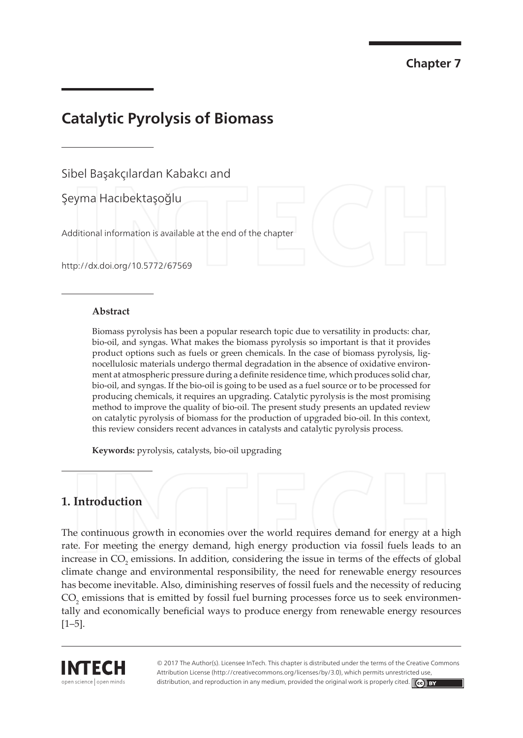**Chapter 7** 

# **Catalytic Pyrolysis of Biomass**

Sibel Basakcılardan Kabakcı and

Şeyma Hacıbektaşoğlu

Additional information is available at the end of the chapter

http://dx.doi.org/10.5772/67569

#### **Abstract**

Biomass pyrolysis has been a popular research topic due to versatility in products: char, bio-oil, and syngas. What makes the biomass pyrolysis so important is that it provides product options such as fuels or green chemicals. In the case of biomass pyrolysis, lignocellulosic materials undergo thermal degradation in the absence of oxidative environment at atmospheric pressure during a definite residence time, which produces solid char, bio-oil, and syngas. If the bio-oil is going to be used as a fuel source or to be processed for producing chemicals, it requires an upgrading. Catalytic pyrolysis is the most promising method to improve the quality of bio-oil. The present study presents an updated review on catalytic pyrolysis of biomass for the production of upgraded bio-oil. In this context, this review considers recent advances in catalysts and catalytic pyrolysis process.

Keywords: pyrolysis, catalysts, bio-oil upgrading

### 1. Introduction

The continuous growth in economies over the world requires demand for energy at a high rate. For meeting the energy demand, high energy production via fossil fuels leads to an increase in CO<sub>2</sub> emissions. In addition, considering the issue in terms of the effects of global climate change and environmental responsibility, the need for renewable energy resources has become inevitable. Also, diminishing reserves of fossil fuels and the necessity of reducing CO<sub>2</sub> emissions that is emitted by fossil fuel burning processes force us to seek environmentally and economically beneficial ways to produce energy from renewable energy resources  $[1-5]$ .



© 2017 The Author(s). Licensee InTech. This chapter is distributed under the terms of the Creative Commons Attribution License (http://creativecommons.org/licenses/by/3.0), which permits unrestricted use distribution, and reproduction in any medium, provided the original work is properly cited.  $\llbracket c \mathbf{c} \rrbracket$  BY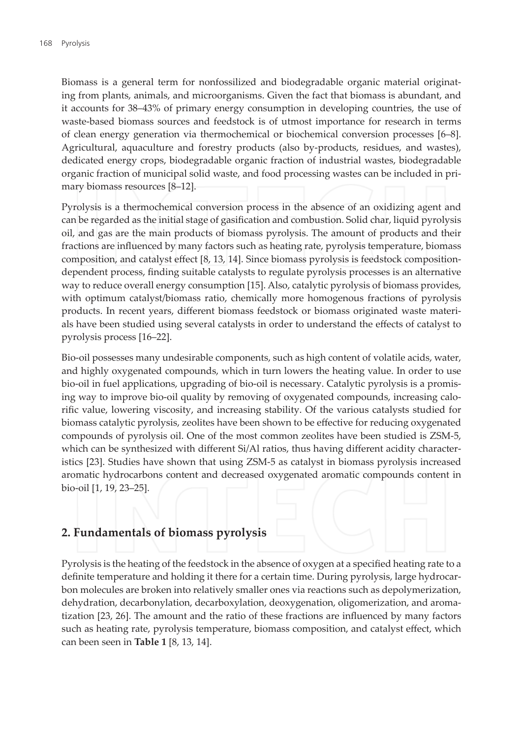Biomass is a general term for nonfossilized and biodegradable organic material originating from plants, animals, and microorganisms. Given the fact that biomass is abundant, and it accounts for 38–43% of primary energy consumption in developing countries, the use of waste-based biomass sources and feedstock is of utmost importance for research in terms of clean energy generation via thermochemical or biochemical conversion processes [6–8]. Agricultural, aquaculture and forestry products (also by-products, residues, and wastes), dedicated energy crops, biodegradable organic fraction of industrial wastes, biodegradable organic fraction of municipal solid waste, and food processing wastes can be included in primary biomass resources [8-12].

Pyrolysis is a thermochemical conversion process in the absence of an oxidizing agent and can be regarded as the initial stage of gasification and combustion. Solid char, liquid pyrolysis oil, and gas are the main products of biomass pyrolysis. The amount of products and their fractions are influenced by many factors such as heating rate, pyrolysis temperature, biomass composition, and catalyst effect [8, 13, 14]. Since biomass pyrolysis is feedstock compositiondependent process, finding suitable catalysts to regulate pyrolysis processes is an alternative way to reduce overall energy consumption [15]. Also, catalytic pyrolysis of biomass provides, with optimum catalyst/biomass ratio, chemically more homogenous fractions of pyrolysis products. In recent years, different biomass feedstock or biomass originated waste materials have been studied using several catalysts in order to understand the effects of catalyst to pyrolysis process [16-22].

Bio-oil possesses many undesirable components, such as high content of volatile acids, water, and highly oxygenated compounds, which in turn lowers the heating value. In order to use bio-oil in fuel applications, upgrading of bio-oil is necessary. Catalytic pyrolysis is a promising way to improve bio-oil quality by removing of oxygenated compounds, increasing calorific value, lowering viscosity, and increasing stability. Of the various catalysts studied for biomass catalytic pyrolysis, zeolites have been shown to be effective for reducing oxygenated compounds of pyrolysis oil. One of the most common zeolites have been studied is ZSM-5, which can be synthesized with different Si/Al ratios, thus having different acidity characteristics [23]. Studies have shown that using ZSM-5 as catalyst in biomass pyrolysis increased aromatic hydrocarbons content and decreased oxygenated aromatic compounds content in bio-oil [1, 19, 23-25].

### 2. Fundamentals of biomass pyrolysis

Pyrolysis is the heating of the feedstock in the absence of oxygen at a specified heating rate to a definite temperature and holding it there for a certain time. During pyrolysis, large hydrocarbon molecules are broken into relatively smaller ones via reactions such as depolymerization, dehydration, decarbonylation, decarboxylation, deoxygenation, oligomerization, and aromatization [23, 26]. The amount and the ratio of these fractions are influenced by many factors such as heating rate, pyrolysis temperature, biomass composition, and catalyst effect, which can been seen in **Table 1** [8, 13, 14].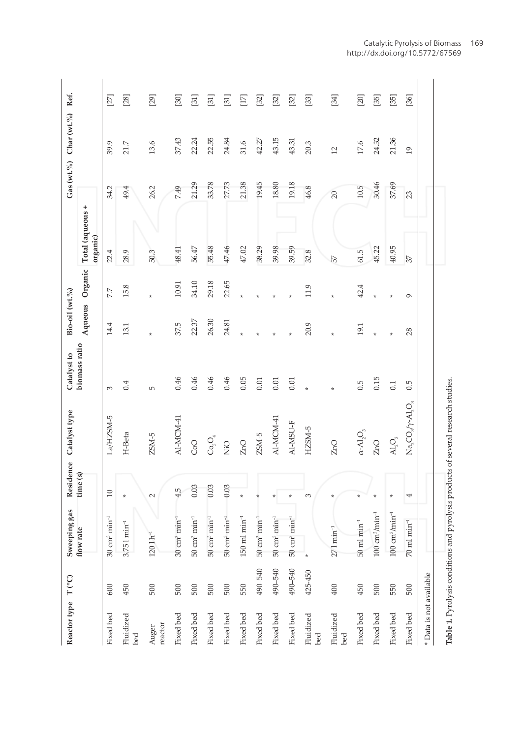| Reactor type T <sup>(°C)</sup> |         | Sweeping gas                       |          | Residence Catalyst type                                                           | Catalyst to   | Bio-oil (wt.%) |          |                              |        | Gas (wt.%) Char (wt.%) Ref. |             |
|--------------------------------|---------|------------------------------------|----------|-----------------------------------------------------------------------------------|---------------|----------------|----------|------------------------------|--------|-----------------------------|-------------|
|                                |         | flow rate                          | time (s) |                                                                                   | biomass ratio | Aqueous        | Organic  | Total (aqueous +<br>organic) |        |                             |             |
| Fixed bed                      | 600     | $30 \text{ cm}^3 \text{ min}^{-1}$ | $\Xi$    | La/HZSM-5                                                                         | 3             | 14.4           | 7.7      | 22.4                         | 34.2   | 39.9                        | $\boxtimes$ |
| Fluidized<br>bed               | 450     | $3.751 \text{ min}^{-1}$           |          | H-Beta                                                                            | 0.4           | 13.1           | 15.8     | 28.9                         | 49.4   | 21.7                        | $[28]$      |
| reactor<br>Auger               | 500     | $1201h^{-1}$                       | $\sim$   | $ZSM-5$                                                                           | Б             |                |          | 50.3                         | 26.2   | 13.6                        | [29]        |
| Fixed bed                      | 500     | $30 \text{ cm}^3 \text{ min}^{-1}$ | 4.5      | Al-MCM-41                                                                         | 0.46          | 37.5           | 10.91    | 48.41                        | 7.49   | 37.43                       | [30]        |
| Fixed bed                      | 500     | $50 \text{ cm}^3 \text{ min}^{-1}$ | 0.03     | CoO                                                                               | 0.46          | 22.37          | 34.10    | 56.47                        | 21.29  | 22.24                       | $\Xi$       |
| Fixed bed                      | 500     | $50 \text{ cm}^3 \text{ min}^{-1}$ | 0.03     | $\mathrm{Co_{3}O_{4}}$                                                            | 0.46          | 26.30          | 29.18    | 55.48                        | 33.78  | 22.55                       | $[31]$      |
| Fixed bed                      | 500     | $50 \text{ cm}^3 \text{ min}^{-1}$ | 0.03     | QiN                                                                               | 0.46          | 24.81          | 22.65    | 47.46                        | 27.73  | 24.84                       | $\Xi$       |
| Fixed bed                      | 550     | $150$ ml min <sup>-1</sup>         |          | ZnO                                                                               | 0.05          |                |          | 47.02                        | 21.38  | 31.6                        | $[17]$      |
| Fixed bed                      | 490-540 | $50 \text{ cm}^3 \text{ min}^{-1}$ |          | $ZSM-5$                                                                           | 0.01          |                |          | 38.29                        | 19.45  | 42.27                       | $[32]$      |
| Fixed bed                      | 490-540 | $50 \text{ cm}^3 \text{ min}^{-1}$ |          | AI-MCM-41                                                                         | 0.01          |                |          | 39.98                        | 18.80  | 43.15                       | $[32]$      |
| Fixed bed                      | 490-540 | $50 \text{ cm}^3 \text{ min}^{-1}$ | $\ast$   | AI-MSU-F                                                                          | 0.01          |                |          | 39.59                        | 19.18  | 43.31                       | $[32]$      |
| Fluidized<br>bed               | 425-450 |                                    | 3        | HZSM-5                                                                            |               | 20.9           | 11.9     | 32.8                         | 46.8   | 20.3                        | $[33]$      |
| Fluidized<br>bed               | 400     | 27 1 min <sup>-1</sup>             |          | ZnO                                                                               |               |                |          | 57                           | $20\,$ | $\overline{12}$             | $[34]$      |
| Fixed bed                      | 450     | $50~\mathrm{ml}~\mathrm{min}^{-1}$ |          | $\alpha\text{-Al}_2\text{O}_3$                                                    | 0.5           | 19.1           | 42.4     | 61.5                         | 10.5   | 17.6                        | [20]        |
| Fixed bed                      | 500     | $100 \text{ cm}^3/\text{min}^{-1}$ |          | ZnO                                                                               | 0.15          |                |          | 45.22                        | 30.46  | 24.32                       | $[35]$      |
| Fixed bed                      | 550     | $100 \text{ cm}^3/\text{min}^{-1}$ |          | $\mathsf{A}\mathsf{I}_2\mathsf{O}_3$                                              | 0.1           |                |          | 40.95                        | 37.69  | 21.36                       | $[35]$      |
| Fixed bed                      | 500     | $70$ ml min <sup>-1</sup>          | 4        | $\mathrm{Na}_2\mathrm{CO}_3/\gamma$ -Al, $\mathrm{O}_3$                           | 0.5           | 28             | $\sigma$ | 37                           | 23     | $\overline{19}$             | [36]        |
| * Data is not available        |         |                                    |          |                                                                                   |               |                |          |                              |        |                             |             |
|                                |         |                                    |          | Table 1. Pyrolysis conditions and pyrolysis products of several research studies. |               |                |          |                              |        |                             |             |
|                                |         |                                    |          |                                                                                   |               |                |          |                              |        |                             |             |

Catalytic Pyrolysis of Biomass 169 http://dx.doi.org/10.5772/67569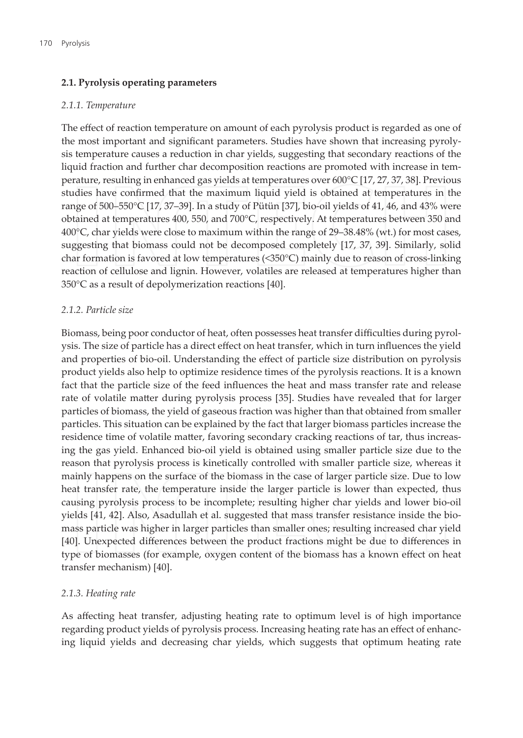#### 2.1. Pyrolysis operating parameters

#### 2.1.1. Temperature

The effect of reaction temperature on amount of each pyrolysis product is regarded as one of the most important and significant parameters. Studies have shown that increasing pyrolysis temperature causes a reduction in char yields, suggesting that secondary reactions of the liquid fraction and further char decomposition reactions are promoted with increase in temperature, resulting in enhanced gas yields at temperatures over  $600^{\circ}$ C [17, 27, 37, 38]. Previous studies have confirmed that the maximum liquid yield is obtained at temperatures in the range of 500–550°C [17, 37–39]. In a study of Pütün [37], bio-oil yields of 41, 46, and 43% were obtained at temperatures 400, 550, and 700°C, respectively. At temperatures between 350 and 400°C, char yields were close to maximum within the range of 29–38.48% (wt.) for most cases, suggesting that biomass could not be decomposed completely [17, 37, 39]. Similarly, solid char formation is favored at low temperatures (<350°C) mainly due to reason of cross-linking reaction of cellulose and lignin. However, volatiles are released at temperatures higher than 350°C as a result of depolymerization reactions [40].

#### 2.1.2. Particle size

Biomass, being poor conductor of heat, often possesses heat transfer difficulties during pyrolysis. The size of particle has a direct effect on heat transfer, which in turn influences the yield and properties of bio-oil. Understanding the effect of particle size distribution on pyrolysis product yields also help to optimize residence times of the pyrolysis reactions. It is a known fact that the particle size of the feed influences the heat and mass transfer rate and release rate of volatile matter during pyrolysis process [35]. Studies have revealed that for larger particles of biomass, the yield of gaseous fraction was higher than that obtained from smaller particles. This situation can be explained by the fact that larger biomass particles increase the residence time of volatile matter, favoring secondary cracking reactions of tar, thus increasing the gas yield. Enhanced bio-oil yield is obtained using smaller particle size due to the reason that pyrolysis process is kinetically controlled with smaller particle size, whereas it mainly happens on the surface of the biomass in the case of larger particle size. Due to low heat transfer rate, the temperature inside the larger particle is lower than expected, thus causing pyrolysis process to be incomplete; resulting higher char yields and lower bio-oil yields [41, 42]. Also, Asadullah et al. suggested that mass transfer resistance inside the biomass particle was higher in larger particles than smaller ones; resulting increased char yield [40]. Unexpected differences between the product fractions might be due to differences in type of biomasses (for example, oxygen content of the biomass has a known effect on heat transfer mechanism) [40].

#### 2.1.3. Heating rate

As affecting heat transfer, adjusting heating rate to optimum level is of high importance regarding product yields of pyrolysis process. Increasing heating rate has an effect of enhancing liquid yields and decreasing char yields, which suggests that optimum heating rate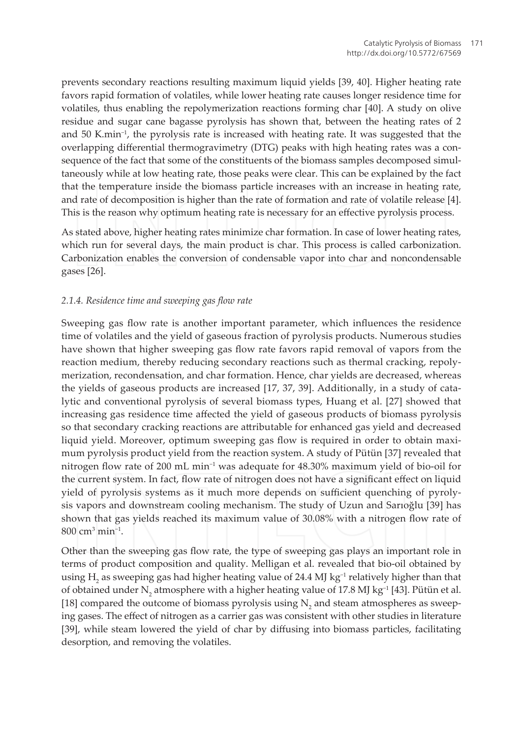prevents secondary reactions resulting maximum liquid yields [39, 40]. Higher heating rate favors rapid formation of volatiles, while lower heating rate causes longer residence time for volatiles, thus enabling the repolymerization reactions forming char [40]. A study on olive residue and sugar cane bagasse pyrolysis has shown that, between the heating rates of 2 and 50 K.min<sup>-1</sup>, the pyrolysis rate is increased with heating rate. It was suggested that the overlapping differential thermogravimetry (DTG) peaks with high heating rates was a consequence of the fact that some of the constituents of the biomass samples decomposed simultaneously while at low heating rate, those peaks were clear. This can be explained by the fact that the temperature inside the biomass particle increases with an increase in heating rate, and rate of decomposition is higher than the rate of formation and rate of volatile release [4]. This is the reason why optimum heating rate is necessary for an effective pyrolysis process.

As stated above, higher heating rates minimize char formation. In case of lower heating rates, which run for several days, the main product is char. This process is called carbonization. Carbonization enables the conversion of condensable vapor into char and noncondensable gases [26].

#### 2.1.4. Residence time and sweeping gas flow rate

Sweeping gas flow rate is another important parameter, which influences the residence time of volatiles and the yield of gaseous fraction of pyrolysis products. Numerous studies have shown that higher sweeping gas flow rate favors rapid removal of vapors from the reaction medium, thereby reducing secondary reactions such as thermal cracking, repolymerization, recondensation, and char formation. Hence, char yields are decreased, whereas the yields of gaseous products are increased [17, 37, 39]. Additionally, in a study of catalytic and conventional pyrolysis of several biomass types, Huang et al. [27] showed that increasing gas residence time affected the yield of gaseous products of biomass pyrolysis so that secondary cracking reactions are attributable for enhanced gas yield and decreased liquid yield. Moreover, optimum sweeping gas flow is required in order to obtain maximum pyrolysis product yield from the reaction system. A study of Pütün [37] revealed that nitrogen flow rate of 200 mL min<sup>-1</sup> was adequate for 48.30% maximum yield of bio-oil for the current system. In fact, flow rate of nitrogen does not have a significant effect on liquid yield of pyrolysis systems as it much more depends on sufficient quenching of pyrolysis vapors and downstream cooling mechanism. The study of Uzun and Sarioglu [39] has shown that gas yields reached its maximum value of 30.08% with a nitrogen flow rate of  $800 \text{ cm}^3 \text{ min}^{-1}$ .

Other than the sweeping gas flow rate, the type of sweeping gas plays an important role in terms of product composition and quality. Melligan et al. revealed that bio-oil obtained by using H<sub>2</sub> as sweeping gas had higher heating value of 24.4 MJ kg<sup>-1</sup> relatively higher than that of obtained under N, atmosphere with a higher heating value of 17.8 MJ kg<sup>-1</sup> [43]. Pütün et al. [18] compared the outcome of biomass pyrolysis using N, and steam atmospheres as sweeping gases. The effect of nitrogen as a carrier gas was consistent with other studies in literature [39], while steam lowered the yield of char by diffusing into biomass particles, facilitating desorption, and removing the volatiles.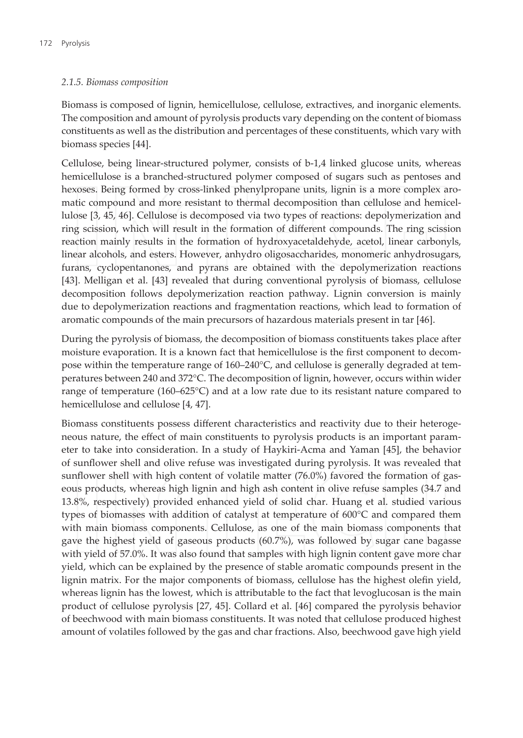#### 2.1.5. Biomass composition

Biomass is composed of lignin, hemicellulose, cellulose, extractives, and inorganic elements. The composition and amount of pyrolysis products vary depending on the content of biomass constituents as well as the distribution and percentages of these constituents, which vary with biomass species [44].

Cellulose, being linear-structured polymer, consists of b-1,4 linked glucose units, whereas hemicellulose is a branched-structured polymer composed of sugars such as pentoses and hexoses. Being formed by cross-linked phenylpropane units, lignin is a more complex aromatic compound and more resistant to thermal decomposition than cellulose and hemicellulose [3, 45, 46]. Cellulose is decomposed via two types of reactions: depolymerization and ring scission, which will result in the formation of different compounds. The ring scission reaction mainly results in the formation of hydroxyacetaldehyde, acetol, linear carbonyls, linear alcohols, and esters. However, anhydro oligosaccharides, monomeric anhydrosugars, furans, cyclopentanones, and pyrans are obtained with the depolymerization reactions [43]. Melligan et al. [43] revealed that during conventional pyrolysis of biomass, cellulose decomposition follows depolymerization reaction pathway. Lignin conversion is mainly due to depolymerization reactions and fragmentation reactions, which lead to formation of aromatic compounds of the main precursors of hazardous materials present in tar [46].

During the pyrolysis of biomass, the decomposition of biomass constituents takes place after moisture evaporation. It is a known fact that hemicellulose is the first component to decompose within the temperature range of 160–240°C, and cellulose is generally degraded at temperatures between 240 and 372°C. The decomposition of lignin, however, occurs within wider range of temperature ( $160-625^{\circ}$ C) and at a low rate due to its resistant nature compared to hemicellulose and cellulose [4, 47].

Biomass constituents possess different characteristics and reactivity due to their heterogeneous nature, the effect of main constituents to pyrolysis products is an important parameter to take into consideration. In a study of Haykiri-Acma and Yaman [45], the behavior of sunflower shell and olive refuse was investigated during pyrolysis. It was revealed that sunflower shell with high content of volatile matter (76.0%) favored the formation of gaseous products, whereas high lignin and high ash content in olive refuse samples (34.7 and 13.8%, respectively) provided enhanced yield of solid char. Huang et al. studied various types of biomasses with addition of catalyst at temperature of 600°C and compared them with main biomass components. Cellulose, as one of the main biomass components that gave the highest yield of gaseous products (60.7%), was followed by sugar cane bagasse with yield of 57.0%. It was also found that samples with high lignin content gave more char yield, which can be explained by the presence of stable aromatic compounds present in the lignin matrix. For the major components of biomass, cellulose has the highest olefin yield, whereas lignin has the lowest, which is attributable to the fact that levoglucosan is the main product of cellulose pyrolysis [27, 45]. Collard et al. [46] compared the pyrolysis behavior of beechwood with main biomass constituents. It was noted that cellulose produced highest amount of volatiles followed by the gas and char fractions. Also, beechwood gave high yield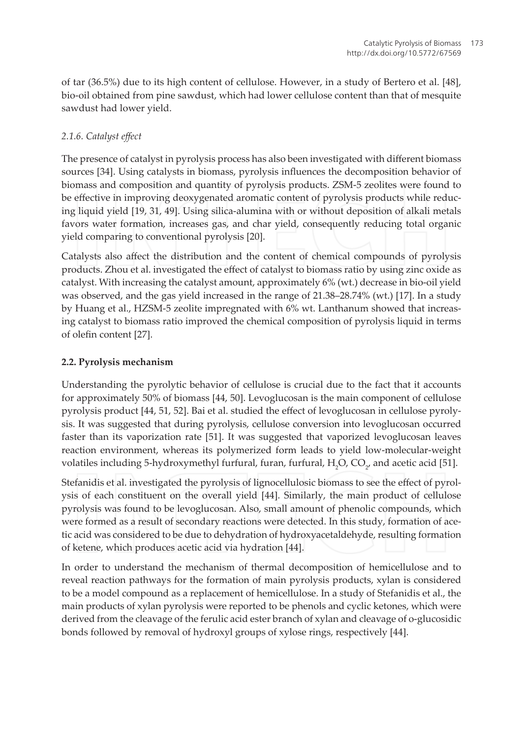of tar (36.5%) due to its high content of cellulose. However, in a study of Bertero et al. [48], bio-oil obtained from pine sawdust, which had lower cellulose content than that of mesquite sawdust had lower yield.

### 2.1.6. Catalyst effect

The presence of catalyst in pyrolysis process has also been investigated with different biomass sources [34]. Using catalysts in biomass, pyrolysis influences the decomposition behavior of biomass and composition and quantity of pyrolysis products. ZSM-5 zeolites were found to be effective in improving deoxygenated aromatic content of pyrolysis products while reducing liquid yield [19, 31, 49]. Using silica-alumina with or without deposition of alkali metals favors water formation, increases gas, and char yield, consequently reducing total organic yield comparing to conventional pyrolysis [20].

Catalysts also affect the distribution and the content of chemical compounds of pyrolysis products. Zhou et al. investigated the effect of catalyst to biomass ratio by using zinc oxide as catalyst. With increasing the catalyst amount, approximately 6% (wt.) decrease in bio-oil yield was observed, and the gas yield increased in the range of 21.38-28.74% (wt.) [17]. In a study by Huang et al., HZSM-5 zeolite impregnated with 6% wt. Lanthanum showed that increasing catalyst to biomass ratio improved the chemical composition of pyrolysis liquid in terms of olefin content [27].

#### 2.2. Pyrolysis mechanism

Understanding the pyrolytic behavior of cellulose is crucial due to the fact that it accounts for approximately 50% of biomass [44, 50]. Levoglucosan is the main component of cellulose pyrolysis product [44, 51, 52]. Bai et al. studied the effect of levoglucosan in cellulose pyrolysis. It was suggested that during pyrolysis, cellulose conversion into levoglucosan occurred faster than its vaporization rate [51]. It was suggested that vaporized levoglucosan leaves reaction environment, whereas its polymerized form leads to yield low-molecular-weight volatiles including 5-hydroxymethyl furfural, furan, furfural, H<sub>,</sub>O, CO<sub>2</sub>, and acetic acid [51].

Stefanidis et al. investigated the pyrolysis of lignocellulosic biomass to see the effect of pyrolysis of each constituent on the overall yield [44]. Similarly, the main product of cellulose pyrolysis was found to be levoglucosan. Also, small amount of phenolic compounds, which were formed as a result of secondary reactions were detected. In this study, formation of acetic acid was considered to be due to dehydration of hydroxyacetaldehyde, resulting formation of ketene, which produces acetic acid via hydration [44].

In order to understand the mechanism of thermal decomposition of hemicellulose and to reveal reaction pathways for the formation of main pyrolysis products, xylan is considered to be a model compound as a replacement of hemicellulose. In a study of Stefanidis et al., the main products of xylan pyrolysis were reported to be phenols and cyclic ketones, which were derived from the cleavage of the ferulic acid ester branch of xylan and cleavage of o-glucosidic bonds followed by removal of hydroxyl groups of xylose rings, respectively [44].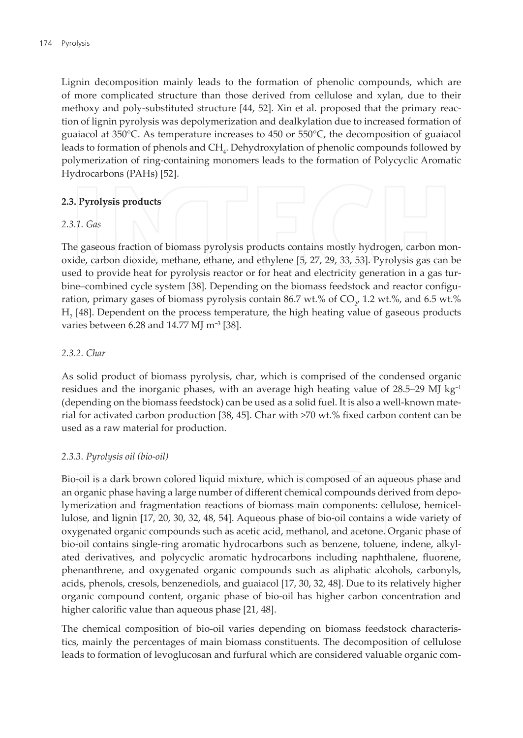Lignin decomposition mainly leads to the formation of phenolic compounds, which are of more complicated structure than those derived from cellulose and xylan, due to their methoxy and poly-substituted structure [44, 52]. Xin et al. proposed that the primary reaction of lignin pyrolysis was depolymerization and dealkylation due to increased formation of guaiacol at 350°C. As temperature increases to 450 or 550°C, the decomposition of guaiacol leads to formation of phenols and CH<sub>i</sub>. Dehydroxylation of phenolic compounds followed by polymerization of ring-containing monomers leads to the formation of Polycyclic Aromatic Hydrocarbons (PAHs) [52].

#### 2.3. Pyrolysis products

#### $2.3.1$  Gas

The gaseous fraction of biomass pyrolysis products contains mostly hydrogen, carbon monoxide, carbon dioxide, methane, ethane, and ethylene [5, 27, 29, 33, 53]. Pyrolysis gas can be used to provide heat for pyrolysis reactor or for heat and electricity generation in a gas turbine-combined cycle system [38]. Depending on the biomass feedstock and reactor configuration, primary gases of biomass pyrolysis contain 86.7 wt.% of  $CO_{\gamma}$  1.2 wt.%, and 6.5 wt.% H<sub>2</sub> [48]. Dependent on the process temperature, the high heating value of gaseous products varies between 6.28 and 14.77 MJ m<sup>-3</sup> [38].

#### 2.3.2. Char

As solid product of biomass pyrolysis, char, which is comprised of the condensed organic residues and the inorganic phases, with an average high heating value of  $28.5-29$  MJ kg<sup>-1</sup> (depending on the biomass feedstock) can be used as a solid fuel. It is also a well-known material for activated carbon production [38, 45]. Char with >70 wt.% fixed carbon content can be used as a raw material for production.

#### 2.3.3. Pyrolysis oil (bio-oil)

Bio-oil is a dark brown colored liquid mixture, which is composed of an aqueous phase and an organic phase having a large number of different chemical compounds derived from depolymerization and fragmentation reactions of biomass main components: cellulose, hemicellulose, and lignin [17, 20, 30, 32, 48, 54]. Aqueous phase of bio-oil contains a wide variety of oxygenated organic compounds such as acetic acid, methanol, and acetone. Organic phase of bio-oil contains single-ring aromatic hydrocarbons such as benzene, toluene, indene, alkylated derivatives, and polycyclic aromatic hydrocarbons including naphthalene, fluorene, phenanthrene, and oxygenated organic compounds such as aliphatic alcohols, carbonyls, acids, phenols, cresols, benzenediols, and guaiacol [17, 30, 32, 48]. Due to its relatively higher organic compound content, organic phase of bio-oil has higher carbon concentration and higher calorific value than aqueous phase [21, 48].

The chemical composition of bio-oil varies depending on biomass feedstock characteristics, mainly the percentages of main biomass constituents. The decomposition of cellulose leads to formation of levoglucosan and furfural which are considered valuable organic com-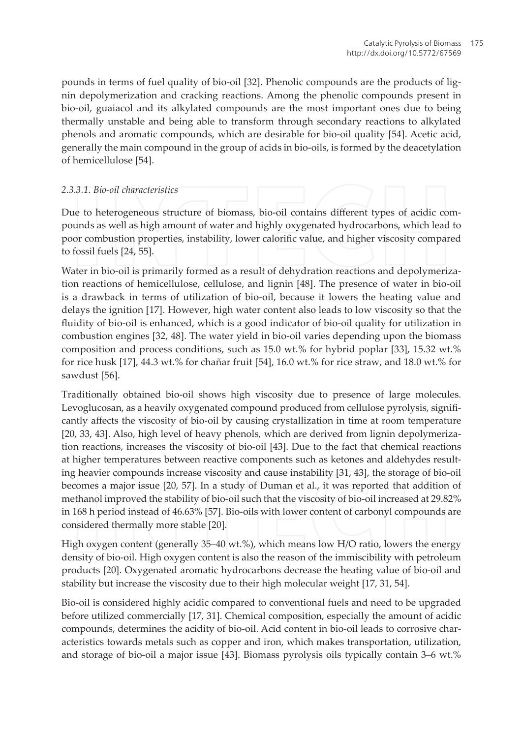pounds in terms of fuel quality of bio-oil [32]. Phenolic compounds are the products of lignin depolymerization and cracking reactions. Among the phenolic compounds present in bio-oil, guaiacol and its alkylated compounds are the most important ones due to being thermally unstable and being able to transform through secondary reactions to alkylated phenols and aromatic compounds, which are desirable for bio-oil quality [54]. Acetic acid, generally the main compound in the group of acids in bio-oils, is formed by the deacetylation of hemicellulose [54].

#### 2.3.3.1. Bio-oil characteristics

Due to heterogeneous structure of biomass, bio-oil contains different types of acidic compounds as well as high amount of water and highly oxygenated hydrocarbons, which lead to poor combustion properties, instability, lower calorific value, and higher viscosity compared to fossil fuels [24, 55].

Water in bio-oil is primarily formed as a result of dehydration reactions and depolymerization reactions of hemicellulose, cellulose, and lignin [48]. The presence of water in bio-oil is a drawback in terms of utilization of bio-oil, because it lowers the heating value and delays the ignition [17]. However, high water content also leads to low viscosity so that the fluidity of bio-oil is enhanced, which is a good indicator of bio-oil quality for utilization in combustion engines [32, 48]. The water yield in bio-oil varies depending upon the biomass composition and process conditions, such as 15.0 wt.% for hybrid poplar [33], 15.32 wt.% for rice husk [17], 44.3 wt.% for chañar fruit [54], 16.0 wt.% for rice straw, and 18.0 wt.% for sawdust [56].

Traditionally obtained bio-oil shows high viscosity due to presence of large molecules. Levoglucosan, as a heavily oxygenated compound produced from cellulose pyrolysis, significantly affects the viscosity of bio-oil by causing crystallization in time at room temperature [20, 33, 43]. Also, high level of heavy phenols, which are derived from lignin depolymerization reactions, increases the viscosity of bio-oil [43]. Due to the fact that chemical reactions at higher temperatures between reactive components such as ketones and aldehydes resulting heavier compounds increase viscosity and cause instability [31, 43], the storage of bio-oil becomes a major issue [20, 57]. In a study of Duman et al., it was reported that addition of methanol improved the stability of bio-oil such that the viscosity of bio-oil increased at 29.82% in 168 h period instead of 46.63% [57]. Bio-oils with lower content of carbonyl compounds are considered thermally more stable [20].

High oxygen content (generally 35–40 wt.%), which means low H/O ratio, lowers the energy density of bio-oil. High oxygen content is also the reason of the immiscibility with petroleum products [20]. Oxygenated aromatic hydrocarbons decrease the heating value of bio-oil and stability but increase the viscosity due to their high molecular weight [17, 31, 54].

Bio-oil is considered highly acidic compared to conventional fuels and need to be upgraded before utilized commercially [17, 31]. Chemical composition, especially the amount of acidic compounds, determines the acidity of bio-oil. Acid content in bio-oil leads to corrosive characteristics towards metals such as copper and iron, which makes transportation, utilization, and storage of bio-oil a major issue [43]. Biomass pyrolysis oils typically contain 3–6 wt.%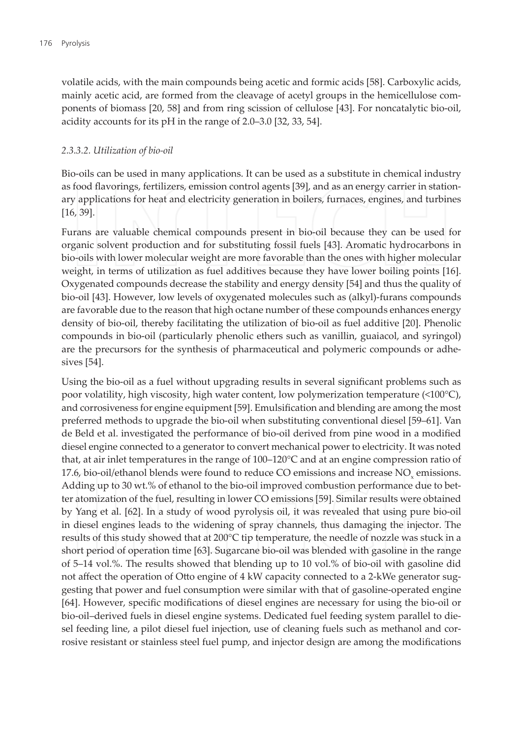volatile acids, with the main compounds being acetic and formic acids [58]. Carboxylic acids, mainly acetic acid, are formed from the cleavage of acetyl groups in the hemicellulose components of biomass [20, 58] and from ring scission of cellulose [43]. For noncatalytic bio-oil, acidity accounts for its pH in the range of 2.0–3.0 [32, 33, 54].

#### 2.3.3.2. Utilization of bio-oil

Bio-oils can be used in many applications. It can be used as a substitute in chemical industry as food flavorings, fertilizers, emission control agents [39], and as an energy carrier in stationary applications for heat and electricity generation in boilers, furnaces, engines, and turbines  $[16, 39]$ .

Furans are valuable chemical compounds present in bio-oil because they can be used for organic solvent production and for substituting fossil fuels [43]. Aromatic hydrocarbons in bio-oils with lower molecular weight are more favorable than the ones with higher molecular weight, in terms of utilization as fuel additives because they have lower boiling points [16]. Oxygenated compounds decrease the stability and energy density [54] and thus the quality of bio-oil [43]. However, low levels of oxygenated molecules such as (alkyl)-furans compounds are favorable due to the reason that high octane number of these compounds enhances energy density of bio-oil, thereby facilitating the utilization of bio-oil as fuel additive [20]. Phenolic compounds in bio-oil (particularly phenolic ethers such as vanillin, guaiacol, and syringol) are the precursors for the synthesis of pharmaceutical and polymeric compounds or adhesives [54].

Using the bio-oil as a fuel without upgrading results in several significant problems such as poor volatility, high viscosity, high water content, low polymerization temperature (<100°C), and corrosiveness for engine equipment [59]. Emulsification and blending are among the most preferred methods to upgrade the bio-oil when substituting conventional diesel [59-61]. Van de Beld et al. investigated the performance of bio-oil derived from pine wood in a modified diesel engine connected to a generator to convert mechanical power to electricity. It was noted that, at air inlet temperatures in the range of 100–120°C and at an engine compression ratio of 17.6, bio-oil/ethanol blends were found to reduce CO emissions and increase NO<sub>v</sub> emissions. Adding up to 30 wt.% of ethanol to the bio-oil improved combustion performance due to better atomization of the fuel, resulting in lower CO emissions [59]. Similar results were obtained by Yang et al. [62]. In a study of wood pyrolysis oil, it was revealed that using pure bio-oil in diesel engines leads to the widening of spray channels, thus damaging the injector. The results of this study showed that at 200°C tip temperature, the needle of nozzle was stuck in a short period of operation time [63]. Sugarcane bio-oil was blended with gasoline in the range of 5–14 vol.%. The results showed that blending up to 10 vol.% of bio-oil with gasoline did not affect the operation of Otto engine of 4 kW capacity connected to a 2-kWe generator suggesting that power and fuel consumption were similar with that of gasoline-operated engine [64]. However, specific modifications of diesel engines are necessary for using the bio-oil or bio-oil-derived fuels in diesel engine systems. Dedicated fuel feeding system parallel to diesel feeding line, a pilot diesel fuel injection, use of cleaning fuels such as methanol and corrosive resistant or stainless steel fuel pump, and injector design are among the modifications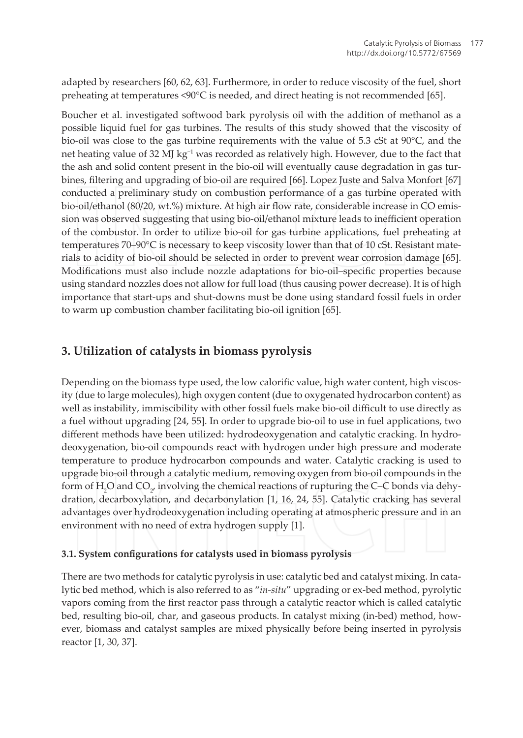adapted by researchers [60, 62, 63]. Furthermore, in order to reduce viscosity of the fuel, short preheating at temperatures <90°C is needed, and direct heating is not recommended [65].

Boucher et al. investigated softwood bark pyrolysis oil with the addition of methanol as a possible liquid fuel for gas turbines. The results of this study showed that the viscosity of bio-oil was close to the gas turbine requirements with the value of 5.3 cSt at 90°C, and the net heating value of 32 MJ kg<sup>-1</sup> was recorded as relatively high. However, due to the fact that the ash and solid content present in the bio-oil will eventually cause degradation in gas turbines, filtering and upgrading of bio-oil are required [66]. Lopez Juste and Salva Monfort [67] conducted a preliminary study on combustion performance of a gas turbine operated with bio-oil/ethanol (80/20, wt.%) mixture. At high air flow rate, considerable increase in CO emission was observed suggesting that using bio-oil/ethanol mixture leads to inefficient operation of the combustor. In order to utilize bio-oil for gas turbine applications, fuel preheating at temperatures 70-90°C is necessary to keep viscosity lower than that of 10 cSt. Resistant materials to acidity of bio-oil should be selected in order to prevent wear corrosion damage [65]. Modifications must also include nozzle adaptations for bio-oil-specific properties because using standard nozzles does not allow for full load (thus causing power decrease). It is of high importance that start-ups and shut-downs must be done using standard fossil fuels in order to warm up combustion chamber facilitating bio-oil ignition [65].

# 3. Utilization of catalysts in biomass pyrolysis

Depending on the biomass type used, the low calorific value, high water content, high viscosity (due to large molecules), high oxygen content (due to oxygenated hydrocarbon content) as well as instability, immiscibility with other fossil fuels make bio-oil difficult to use directly as a fuel without upgrading [24, 55]. In order to upgrade bio-oil to use in fuel applications, two different methods have been utilized: hydrodeoxygenation and catalytic cracking. In hydrodeoxygenation, bio-oil compounds react with hydrogen under high pressure and moderate temperature to produce hydrocarbon compounds and water. Catalytic cracking is used to upgrade bio-oil through a catalytic medium, removing oxygen from bio-oil compounds in the form of H<sub>2</sub>O and  $CO<sub>2</sub>$ , involving the chemical reactions of rupturing the C-C bonds via dehydration, decarboxylation, and decarbonylation [1, 16, 24, 55]. Catalytic cracking has several advantages over hydrodeoxygenation including operating at atmospheric pressure and in an environment with no need of extra hydrogen supply [1].

#### 3.1. System configurations for catalysts used in biomass pyrolysis

There are two methods for catalytic pyrolysis in use: catalytic bed and catalyst mixing. In catalytic bed method, which is also referred to as "in-situ" upgrading or ex-bed method, pyrolytic vapors coming from the first reactor pass through a catalytic reactor which is called catalytic bed, resulting bio-oil, char, and gaseous products. In catalyst mixing (in-bed) method, however, biomass and catalyst samples are mixed physically before being inserted in pyrolysis reactor [1, 30, 37].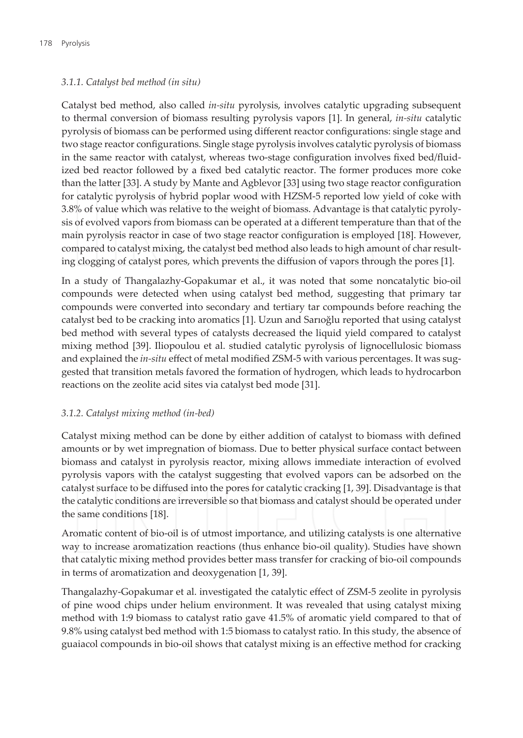#### 3.1.1. Catalyst bed method (in situ)

Catalyst bed method, also called *in-situ* pyrolysis, involves catalytic upgrading subsequent to thermal conversion of biomass resulting pyrolysis vapors [1]. In general, in-situ catalytic pyrolysis of biomass can be performed using different reactor configurations: single stage and two stage reactor configurations. Single stage pyrolysis involves catalytic pyrolysis of biomass in the same reactor with catalyst, whereas two-stage configuration involves fixed bed/fluidized bed reactor followed by a fixed bed catalytic reactor. The former produces more coke than the latter [33]. A study by Mante and Agblevor [33] using two stage reactor configuration for catalytic pyrolysis of hybrid poplar wood with HZSM-5 reported low yield of coke with 3.8% of value which was relative to the weight of biomass. Advantage is that catalytic pyrolysis of evolved vapors from biomass can be operated at a different temperature than that of the main pyrolysis reactor in case of two stage reactor configuration is employed [18]. However, compared to catalyst mixing, the catalyst bed method also leads to high amount of char resulting clogging of catalyst pores, which prevents the diffusion of vapors through the pores [1].

In a study of Thangalazhy-Gopakumar et al., it was noted that some noncatalytic bio-oil compounds were detected when using catalyst bed method, suggesting that primary tar compounds were converted into secondary and tertiary tar compounds before reaching the catalyst bed to be cracking into aromatics [1]. Uzun and Sarioğlu reported that using catalyst bed method with several types of catalysts decreased the liquid yield compared to catalyst mixing method [39]. Iliopoulou et al. studied catalytic pyrolysis of lignocellulosic biomass and explained the in-situ effect of metal modified ZSM-5 with various percentages. It was suggested that transition metals favored the formation of hydrogen, which leads to hydrocarbon reactions on the zeolite acid sites via catalyst bed mode [31].

#### 3.1.2. Catalyst mixing method (in-bed)

Catalyst mixing method can be done by either addition of catalyst to biomass with defined amounts or by wet impregnation of biomass. Due to better physical surface contact between biomass and catalyst in pyrolysis reactor, mixing allows immediate interaction of evolved pyrolysis vapors with the catalyst suggesting that evolved vapors can be adsorbed on the catalyst surface to be diffused into the pores for catalytic cracking [1, 39]. Disadvantage is that the catalytic conditions are irreversible so that biomass and catalyst should be operated under the same conditions [18].

Aromatic content of bio-oil is of utmost importance, and utilizing catalysts is one alternative way to increase aromatization reactions (thus enhance bio-oil quality). Studies have shown that catalytic mixing method provides better mass transfer for cracking of bio-oil compounds in terms of aromatization and deoxygenation [1, 39].

Thangalazhy-Gopakumar et al. investigated the catalytic effect of ZSM-5 zeolite in pyrolysis of pine wood chips under helium environment. It was revealed that using catalyst mixing method with 1:9 biomass to catalyst ratio gave 41.5% of aromatic yield compared to that of 9.8% using catalyst bed method with 1:5 biomass to catalyst ratio. In this study, the absence of guaiacol compounds in bio-oil shows that catalyst mixing is an effective method for cracking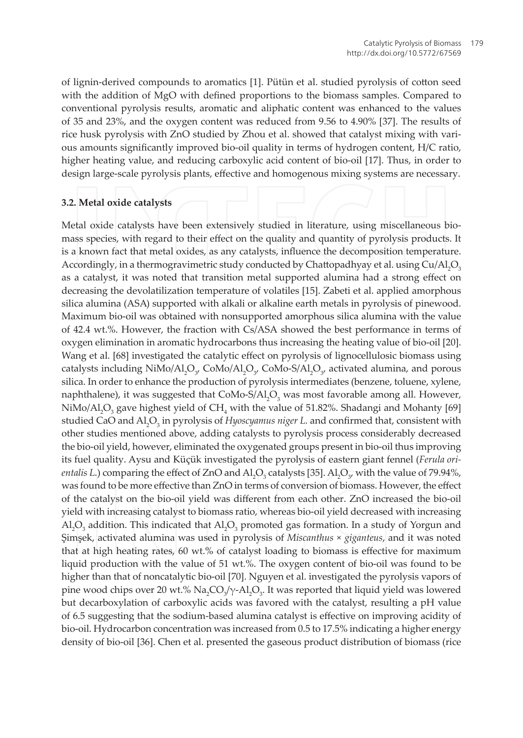of lignin-derived compounds to aromatics [1]. Pütün et al. studied pyrolysis of cotton seed with the addition of MgO with defined proportions to the biomass samples. Compared to conventional pyrolysis results, aromatic and aliphatic content was enhanced to the values of 35 and 23%, and the oxygen content was reduced from 9.56 to 4.90% [37]. The results of rice husk pyrolysis with ZnO studied by Zhou et al. showed that catalyst mixing with various amounts significantly improved bio-oil quality in terms of hydrogen content, H/C ratio, higher heating value, and reducing carboxylic acid content of bio-oil [17]. Thus, in order to design large-scale pyrolysis plants, effective and homogenous mixing systems are necessary.

#### 3.2. Metal oxide catalysts

Metal oxide catalysts have been extensively studied in literature, using miscellaneous biomass species, with regard to their effect on the quality and quantity of pyrolysis products. It is a known fact that metal oxides, as any catalysts, influence the decomposition temperature. Accordingly, in a thermogravimetric study conducted by Chattopadhyay et al. using Cu/Al,O<sub>2</sub> as a catalyst, it was noted that transition metal supported alumina had a strong effect on decreasing the devolatilization temperature of volatiles [15]. Zabeti et al. applied amorphous silica alumina (ASA) supported with alkali or alkaline earth metals in pyrolysis of pinewood. Maximum bio-oil was obtained with nonsupported amorphous silica alumina with the value of 42.4 wt.%. However, the fraction with Cs/ASA showed the best performance in terms of oxygen elimination in aromatic hydrocarbons thus increasing the heating value of bio-oil [20]. Wang et al. [68] investigated the catalytic effect on pyrolysis of lignocellulosic biomass using catalysts including NiMo/Al,O<sub>y</sub> CoMo/Al,O<sub>y</sub> CoMo-S/Al,O<sub>y</sub> activated alumina, and porous silica. In order to enhance the production of pyrolysis intermediates (benzene, toluene, xylene, naphthalene), it was suggested that CoMo-S/Al,O<sub>3</sub> was most favorable among all. However, NiMo/Al<sub>2</sub>O<sub>3</sub> gave highest yield of CH<sub>4</sub> with the value of 51.82%. Shadangi and Mohanty [69] studied CaO and  $AI_2O_3$  in pyrolysis of Hyoscyamus niger L. and confirmed that, consistent with other studies mentioned above, adding catalysts to pyrolysis process considerably decreased the bio-oil yield, however, eliminated the oxygenated groups present in bio-oil thus improving its fuel quality. Aysu and Küçük investigated the pyrolysis of eastern giant fennel (Ferula ori*entalis L.*) comparing the effect of ZnO and Al,  $O_3$  catalysts [35]. Al,  $O_3$  with the value of 79.94%, was found to be more effective than ZnO in terms of conversion of biomass. However, the effect of the catalyst on the bio-oil yield was different from each other. ZnO increased the bio-oil yield with increasing catalyst to biomass ratio, whereas bio-oil yield decreased with increasing Al<sub>2</sub>O<sub>3</sub> addition. This indicated that Al<sub>2</sub>O<sub>3</sub> promoted gas formation. In a study of Yorgun and Şimşek, activated alumina was used in pyrolysis of Miscanthus × giganteus, and it was noted that at high heating rates, 60 wt.% of catalyst loading to biomass is effective for maximum liquid production with the value of 51 wt.%. The oxygen content of bio-oil was found to be higher than that of noncatalytic bio-oil [70]. Nguyen et al. investigated the pyrolysis vapors of pine wood chips over 20 wt.%  $Na_2CO<sub>3</sub>/\gamma$ -Al<sub>2</sub>O<sub>3</sub>. It was reported that liquid yield was lowered but decarboxylation of carboxylic acids was favored with the catalyst, resulting a pH value of 6.5 suggesting that the sodium-based alumina catalyst is effective on improving acidity of bio-oil. Hydrocarbon concentration was increased from 0.5 to 17.5% indicating a higher energy density of bio-oil [36]. Chen et al. presented the gaseous product distribution of biomass (rice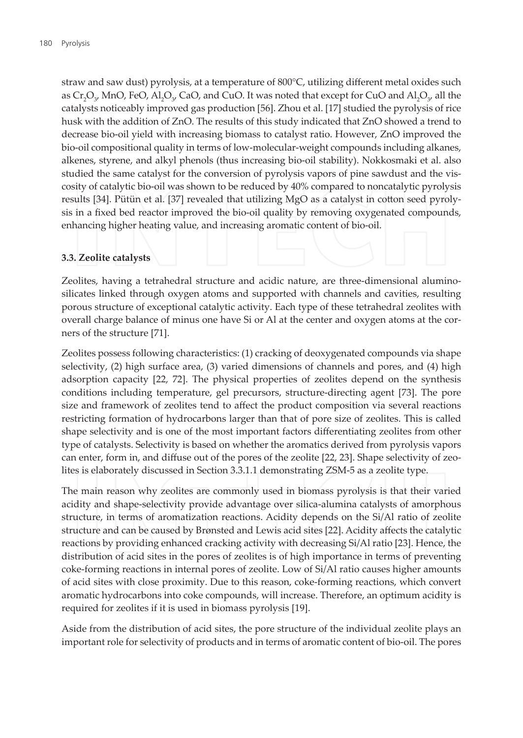straw and saw dust) pyrolysis, at a temperature of 800°C, utilizing different metal oxides such as  $Cr_1O_y$  MnO, FeO, Al<sub>2</sub>O<sub>y</sub> CaO, and CuO. It was noted that except for CuO and Al<sub>2</sub>O<sub>y</sub> all the catalysts noticeably improved gas production [56]. Zhou et al. [17] studied the pyrolysis of rice husk with the addition of ZnO. The results of this study indicated that ZnO showed a trend to decrease bio-oil yield with increasing biomass to catalyst ratio. However, ZnO improved the bio-oil compositional quality in terms of low-molecular-weight compounds including alkanes, alkenes, styrene, and alkyl phenols (thus increasing bio-oil stability). Nokkosmaki et al. also studied the same catalyst for the conversion of pyrolysis vapors of pine sawdust and the viscosity of catalytic bio-oil was shown to be reduced by 40% compared to noncatalytic pyrolysis results [34]. Pütün et al. [37] revealed that utilizing MgO as a catalyst in cotton seed pyrolysis in a fixed bed reactor improved the bio-oil quality by removing oxygenated compounds, enhancing higher heating value, and increasing aromatic content of bio-oil.

#### 3.3. Zeolite catalysts

Zeolites, having a tetrahedral structure and acidic nature, are three-dimensional aluminosilicates linked through oxygen atoms and supported with channels and cavities, resulting porous structure of exceptional catalytic activity. Each type of these tetrahedral zeolites with overall charge balance of minus one have Si or Al at the center and oxygen atoms at the corners of the structure [71].

Zeolites possess following characteristics: (1) cracking of deoxygenated compounds via shape selectivity, (2) high surface area, (3) varied dimensions of channels and pores, and (4) high adsorption capacity [22, 72]. The physical properties of zeolites depend on the synthesis conditions including temperature, gel precursors, structure-directing agent [73]. The pore size and framework of zeolites tend to affect the product composition via several reactions restricting formation of hydrocarbons larger than that of pore size of zeolites. This is called shape selectivity and is one of the most important factors differentiating zeolites from other type of catalysts. Selectivity is based on whether the aromatics derived from pyrolysis vapors can enter, form in, and diffuse out of the pores of the zeolite [22, 23]. Shape selectivity of zeolites is elaborately discussed in Section 3.3.1.1 demonstrating ZSM-5 as a zeolite type.

The main reason why zeolites are commonly used in biomass pyrolysis is that their varied acidity and shape-selectivity provide advantage over silica-alumina catalysts of amorphous structure, in terms of aromatization reactions. Acidity depends on the Si/Al ratio of zeolite structure and can be caused by Brønsted and Lewis acid sites [22]. Acidity affects the catalytic reactions by providing enhanced cracking activity with decreasing Si/Al ratio [23]. Hence, the distribution of acid sites in the pores of zeolites is of high importance in terms of preventing coke-forming reactions in internal pores of zeolite. Low of Si/Al ratio causes higher amounts of acid sites with close proximity. Due to this reason, coke-forming reactions, which convert aromatic hydrocarbons into coke compounds, will increase. Therefore, an optimum acidity is required for zeolites if it is used in biomass pyrolysis [19].

Aside from the distribution of acid sites, the pore structure of the individual zeolite plays an important role for selectivity of products and in terms of aromatic content of bio-oil. The pores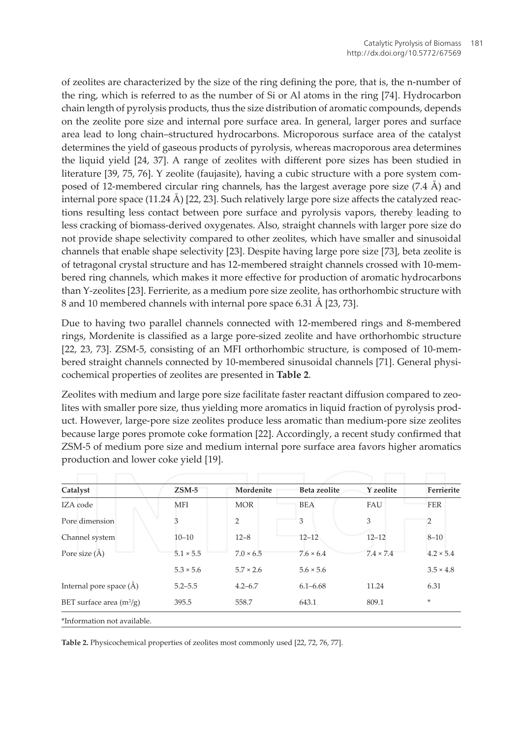of zeolites are characterized by the size of the ring defining the pore, that is, the n-number of the ring, which is referred to as the number of Si or Al atoms in the ring [74]. Hydrocarbon chain length of pyrolysis products, thus the size distribution of aromatic compounds, depends on the zeolite pore size and internal pore surface area. In general, larger pores and surface area lead to long chain-structured hydrocarbons. Microporous surface area of the catalyst determines the yield of gaseous products of pyrolysis, whereas macroporous area determines the liquid yield [24, 37]. A range of zeolites with different pore sizes has been studied in literature [39, 75, 76]. Y zeolite (faujasite), having a cubic structure with a pore system composed of 12-membered circular ring channels, has the largest average pore size  $(7.4 \text{ Å})$  and internal pore space  $(11.24 \text{ Å})$  [22, 23]. Such relatively large pore size affects the catalyzed reactions resulting less contact between pore surface and pyrolysis vapors, thereby leading to less cracking of biomass-derived oxygenates. Also, straight channels with larger pore size do not provide shape selectivity compared to other zeolites, which have smaller and sinusoidal channels that enable shape selectivity [23]. Despite having large pore size [73], beta zeolite is of tetragonal crystal structure and has 12-membered straight channels crossed with 10-membered ring channels, which makes it more effective for production of aromatic hydrocarbons than Y-zeolites [23]. Ferrierite, as a medium pore size zeolite, has orthorhombic structure with 8 and 10 membered channels with internal pore space 6.31 Å [23, 73].

Due to having two parallel channels connected with 12-membered rings and 8-membered rings, Mordenite is classified as a large pore-sized zeolite and have orthorhombic structure [22, 23, 73]. ZSM-5, consisting of an MFI orthorhombic structure, is composed of 10-membered straight channels connected by 10-membered sinusoidal channels [71]. General physicochemical properties of zeolites are presented in Table 2.

Zeolites with medium and large pore size facilitate faster reactant diffusion compared to zeolites with smaller pore size, thus yielding more aromatics in liquid fraction of pyrolysis product. However, large-pore size zeolites produce less aromatic than medium-pore size zeolites because large pores promote coke formation [22]. Accordingly, a recent study confirmed that ZSM-5 of medium pore size and medium internal pore surface area favors higher aromatics production and lower coke yield [19].

|                                 | $ZSM-5$          | Mordenite        | <b>Beta zeolite</b> | Y zeolite        | Ferrierite       |
|---------------------------------|------------------|------------------|---------------------|------------------|------------------|
| Catalyst                        |                  |                  |                     |                  |                  |
| IZA code                        | <b>MFI</b>       | <b>MOR</b>       | <b>BEA</b>          | FAU              | <b>FER</b>       |
| Pore dimension                  | 3                | $\overline{2}$   | 3                   | 3                | 2                |
| Channel system                  | $10 - 10$        | $12 - 8$         | $12 - 12$           | $12 - 12$        | $8 - 10$         |
| Pore size (A)                   | $5.1 \times 5.5$ | $7.0 \times 6.5$ | $7.6 \times 6.4$    | $7.4 \times 7.4$ | $4.2 \times 5.4$ |
|                                 | $5.3 \times 5.6$ | $5.7 \times 2.6$ | $5.6 \times 5.6$    |                  | $3.5 \times 4.8$ |
| Internal pore space $(\hat{A})$ | $5.2 - 5.5$      | $4.2 - 6.7$      | $6.1 - 6.68$        | 11.24            | 6.31             |
| BET surface area $(m^2/g)$      | 395.5            | 558.7            | 643.1               | 809.1            | ÷                |
| *Information not available.     |                  |                  |                     |                  |                  |

Table 2. Physicochemical properties of zeolites most commonly used [22, 72, 76, 77].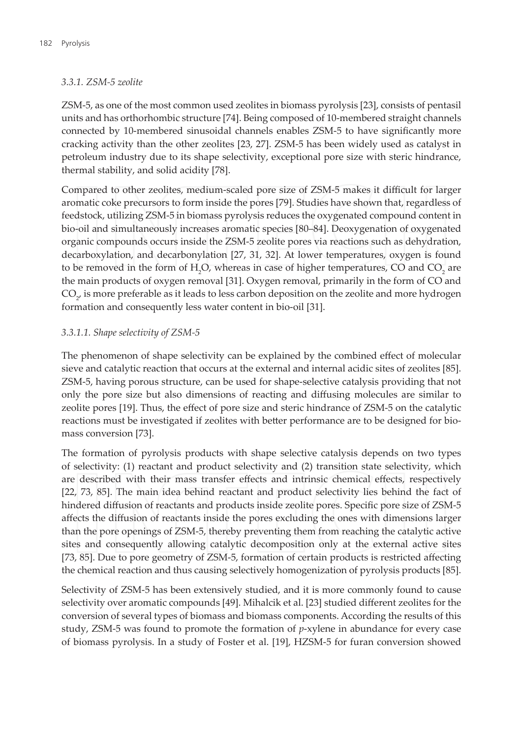#### 3.3.1. ZSM-5 zeolite

ZSM-5, as one of the most common used zeolites in biomass pyrolysis [23], consists of pentasil units and has orthorhombic structure [74]. Being composed of 10-membered straight channels connected by 10-membered sinusoidal channels enables ZSM-5 to have significantly more cracking activity than the other zeolites [23, 27]. ZSM-5 has been widely used as catalyst in petroleum industry due to its shape selectivity, exceptional pore size with steric hindrance, thermal stability, and solid acidity [78].

Compared to other zeolites, medium-scaled pore size of ZSM-5 makes it difficult for larger aromatic coke precursors to form inside the pores [79]. Studies have shown that, regardless of feedstock, utilizing ZSM-5 in biomass pyrolysis reduces the oxygenated compound content in bio-oil and simultaneously increases aromatic species [80-84]. Deoxygenation of oxygenated organic compounds occurs inside the ZSM-5 zeolite pores via reactions such as dehydration, decarboxylation, and decarbonylation [27, 31, 32]. At lower temperatures, oxygen is found to be removed in the form of H<sub>2</sub>O, whereas in case of higher temperatures, CO and CO<sub>2</sub> are the main products of oxygen removal [31]. Oxygen removal, primarily in the form of CO and  $CO_{\gamma}$  is more preferable as it leads to less carbon deposition on the zeolite and more hydrogen formation and consequently less water content in bio-oil [31].

#### 3.3.1.1. Shape selectivity of ZSM-5

The phenomenon of shape selectivity can be explained by the combined effect of molecular sieve and catalytic reaction that occurs at the external and internal acidic sites of zeolites [85]. ZSM-5, having porous structure, can be used for shape-selective catalysis providing that not only the pore size but also dimensions of reacting and diffusing molecules are similar to zeolite pores [19]. Thus, the effect of pore size and steric hindrance of ZSM-5 on the catalytic reactions must be investigated if zeolites with better performance are to be designed for biomass conversion [73].

The formation of pyrolysis products with shape selective catalysis depends on two types of selectivity: (1) reactant and product selectivity and (2) transition state selectivity, which are described with their mass transfer effects and intrinsic chemical effects, respectively [22, 73, 85]. The main idea behind reactant and product selectivity lies behind the fact of hindered diffusion of reactants and products inside zeolite pores. Specific pore size of ZSM-5 affects the diffusion of reactants inside the pores excluding the ones with dimensions larger than the pore openings of ZSM-5, thereby preventing them from reaching the catalytic active sites and consequently allowing catalytic decomposition only at the external active sites [73, 85]. Due to pore geometry of ZSM-5, formation of certain products is restricted affecting the chemical reaction and thus causing selectively homogenization of pyrolysis products [85].

Selectivity of ZSM-5 has been extensively studied, and it is more commonly found to cause selectivity over aromatic compounds [49]. Mihalcik et al. [23] studied different zeolites for the conversion of several types of biomass and biomass components. According the results of this study, ZSM-5 was found to promote the formation of  $p$ -xylene in abundance for every case of biomass pyrolysis. In a study of Foster et al. [19], HZSM-5 for furan conversion showed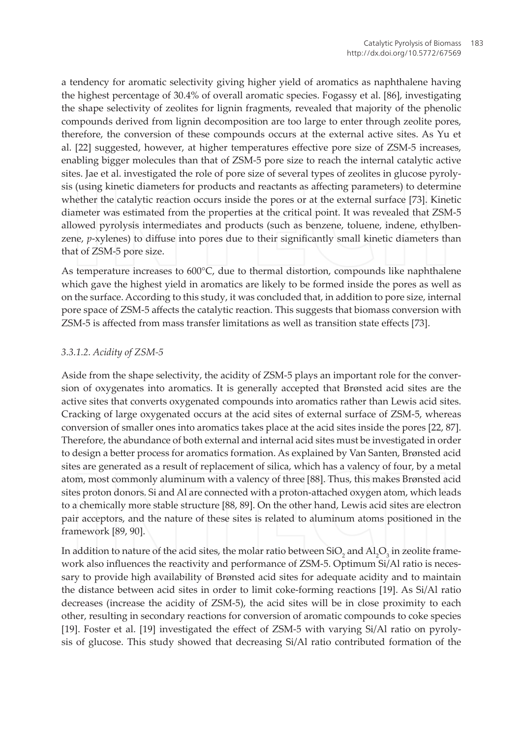a tendency for aromatic selectivity giving higher yield of aromatics as naphthalene having the highest percentage of 30.4% of overall aromatic species. Fogassy et al. [86], investigating the shape selectivity of zeolites for lignin fragments, revealed that majority of the phenolic compounds derived from lignin decomposition are too large to enter through zeolite pores, therefore, the conversion of these compounds occurs at the external active sites. As Yu et al. [22] suggested, however, at higher temperatures effective pore size of ZSM-5 increases, enabling bigger molecules than that of ZSM-5 pore size to reach the internal catalytic active sites. Jae et al. investigated the role of pore size of several types of zeolites in glucose pyrolysis (using kinetic diameters for products and reactants as affecting parameters) to determine whether the catalytic reaction occurs inside the pores or at the external surface [73]. Kinetic diameter was estimated from the properties at the critical point. It was revealed that ZSM-5 allowed pyrolysis intermediates and products (such as benzene, toluene, indene, ethylbenzene, p-xylenes) to diffuse into pores due to their significantly small kinetic diameters than that of ZSM-5 pore size.

As temperature increases to  $600^{\circ}$ C, due to thermal distortion, compounds like naphthalene which gave the highest yield in aromatics are likely to be formed inside the pores as well as on the surface. According to this study, it was concluded that, in addition to pore size, internal pore space of ZSM-5 affects the catalytic reaction. This suggests that biomass conversion with ZSM-5 is affected from mass transfer limitations as well as transition state effects [73].

#### 3.3.1.2. Acidity of ZSM-5

Aside from the shape selectivity, the acidity of ZSM-5 plays an important role for the conversion of oxygenates into aromatics. It is generally accepted that Brønsted acid sites are the active sites that converts oxygenated compounds into aromatics rather than Lewis acid sites. Cracking of large oxygenated occurs at the acid sites of external surface of ZSM-5, whereas conversion of smaller ones into aromatics takes place at the acid sites inside the pores [22, 87]. Therefore, the abundance of both external and internal acid sites must be investigated in order to design a better process for aromatics formation. As explained by Van Santen, Brønsted acid sites are generated as a result of replacement of silica, which has a valency of four, by a metal atom, most commonly aluminum with a valency of three [88]. Thus, this makes Brønsted acid sites proton donors. Si and Al are connected with a proton-attached oxygen atom, which leads to a chemically more stable structure [88, 89]. On the other hand, Lewis acid sites are electron pair acceptors, and the nature of these sites is related to aluminum atoms positioned in the framework [89, 90].

In addition to nature of the acid sites, the molar ratio between  $SiO_2$  and  $Al_2O_3$  in zeolite framework also influences the reactivity and performance of ZSM-5. Optimum Si/Al ratio is necessary to provide high availability of Brønsted acid sites for adequate acidity and to maintain the distance between acid sites in order to limit coke-forming reactions [19]. As Si/Al ratio decreases (increase the acidity of ZSM-5), the acid sites will be in close proximity to each other, resulting in secondary reactions for conversion of aromatic compounds to coke species [19]. Foster et al. [19] investigated the effect of ZSM-5 with varying Si/Al ratio on pyrolysis of glucose. This study showed that decreasing Si/Al ratio contributed formation of the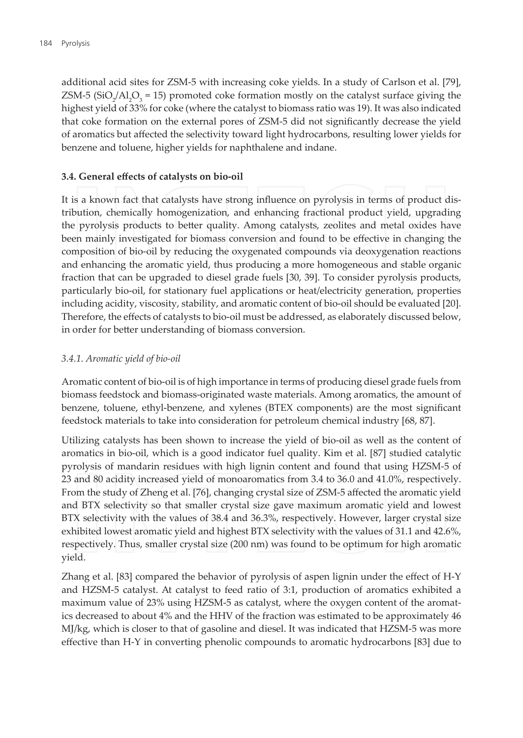additional acid sites for ZSM-5 with increasing coke yields. In a study of Carlson et al. [79],  $ZSM-5$  (SiO<sub>2</sub>/Al<sub>2</sub>O<sub>2</sub> = 15) promoted coke formation mostly on the catalyst surface giving the highest yield of 33% for coke (where the catalyst to biomass ratio was 19). It was also indicated that coke formation on the external pores of ZSM-5 did not significantly decrease the yield of aromatics but affected the selectivity toward light hydrocarbons, resulting lower yields for benzene and toluene, higher yields for naphthalene and indane.

#### 3.4. General effects of catalysts on bio-oil

It is a known fact that catalysts have strong influence on pyrolysis in terms of product distribution, chemically homogenization, and enhancing fractional product yield, upgrading the pyrolysis products to better quality. Among catalysts, zeolites and metal oxides have been mainly investigated for biomass conversion and found to be effective in changing the composition of bio-oil by reducing the oxygenated compounds via deoxygenation reactions and enhancing the aromatic yield, thus producing a more homogeneous and stable organic fraction that can be upgraded to diesel grade fuels [30, 39]. To consider pyrolysis products, particularly bio-oil, for stationary fuel applications or heat/electricity generation, properties including acidity, viscosity, stability, and aromatic content of bio-oil should be evaluated [20]. Therefore, the effects of catalysts to bio-oil must be addressed, as elaborately discussed below. in order for better understanding of biomass conversion.

#### 3.4.1. Aromatic yield of bio-oil

Aromatic content of bio-oil is of high importance in terms of producing diesel grade fuels from biomass feedstock and biomass-originated waste materials. Among aromatics, the amount of benzene, toluene, ethyl-benzene, and xylenes (BTEX components) are the most significant feedstock materials to take into consideration for petroleum chemical industry [68, 87].

Utilizing catalysts has been shown to increase the yield of bio-oil as well as the content of aromatics in bio-oil, which is a good indicator fuel quality. Kim et al. [87] studied catalytic pyrolysis of mandarin residues with high lignin content and found that using HZSM-5 of 23 and 80 acidity increased yield of monoaromatics from 3.4 to 36.0 and 41.0%, respectively. From the study of Zheng et al. [76], changing crystal size of ZSM-5 affected the aromatic yield and BTX selectivity so that smaller crystal size gave maximum aromatic yield and lowest BTX selectivity with the values of 38.4 and 36.3%, respectively. However, larger crystal size exhibited lowest aromatic yield and highest BTX selectivity with the values of 31.1 and 42.6%, respectively. Thus, smaller crystal size (200 nm) was found to be optimum for high aromatic yield.

Zhang et al. [83] compared the behavior of pyrolysis of aspen lignin under the effect of H-Y and HZSM-5 catalyst. At catalyst to feed ratio of 3:1, production of aromatics exhibited a maximum value of 23% using HZSM-5 as catalyst, where the oxygen content of the aromatics decreased to about 4% and the HHV of the fraction was estimated to be approximately 46 MJ/kg, which is closer to that of gasoline and diesel. It was indicated that HZSM-5 was more effective than H-Y in converting phenolic compounds to aromatic hydrocarbons [83] due to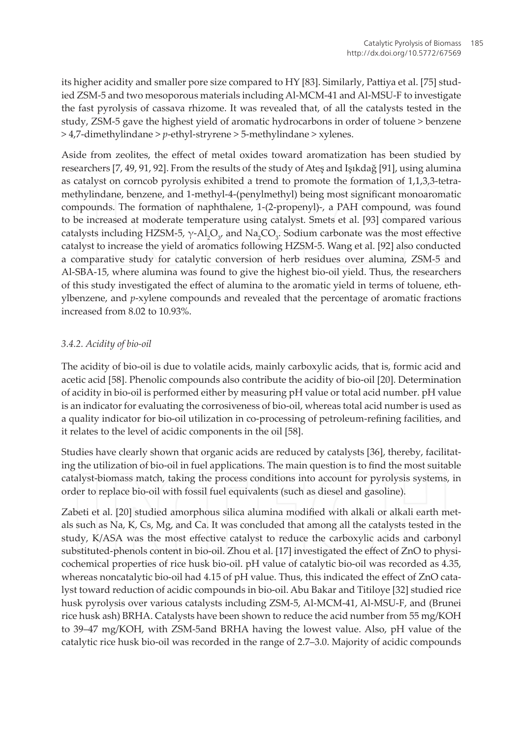its higher acidity and smaller pore size compared to HY [83]. Similarly, Pattiya et al. [75] studied ZSM-5 and two mesoporous materials including Al-MCM-41 and Al-MSU-F to investigate the fast pyrolysis of cassava rhizome. It was revealed that, of all the catalysts tested in the study, ZSM-5 gave the highest yield of aromatic hydrocarbons in order of toluene > benzene > 4,7-dimethylindane > p-ethyl-stryrene > 5-methylindane > xylenes.

Aside from zeolites, the effect of metal oxides toward aromatization has been studied by researchers [7, 49, 91, 92]. From the results of the study of Ateş and Işıkdağ [91], using alumina as catalyst on corncob pyrolysis exhibited a trend to promote the formation of 1,1,3,3-tetramethylindane, benzene, and 1-methyl-4-(penylmethyl) being most significant monoaromatic compounds. The formation of naphthalene, 1-(2-propenyl)-, a PAH compound, was found to be increased at moderate temperature using catalyst. Smets et al. [93] compared various catalysts including HZSM-5,  $\gamma$ -Al,O<sub> $\gamma$ </sub> and Na,CO<sub>3</sub>. Sodium carbonate was the most effective catalyst to increase the yield of aromatics following HZSM-5. Wang et al. [92] also conducted a comparative study for catalytic conversion of herb residues over alumina, ZSM-5 and Al-SBA-15, where alumina was found to give the highest bio-oil yield. Thus, the researchers of this study investigated the effect of alumina to the aromatic yield in terms of toluene, ethylbenzene, and  $p$ -xylene compounds and revealed that the percentage of aromatic fractions increased from 8.02 to 10.93%.

#### 3.4.2. Acidity of bio-oil

The acidity of bio-oil is due to volatile acids, mainly carboxylic acids, that is, formic acid and acetic acid [58]. Phenolic compounds also contribute the acidity of bio-oil [20]. Determination of acidity in bio-oil is performed either by measuring pH value or total acid number. pH value is an indicator for evaluating the corrosiveness of bio-oil, whereas total acid number is used as a quality indicator for bio-oil utilization in co-processing of petroleum-refining facilities, and it relates to the level of acidic components in the oil [58].

Studies have clearly shown that organic acids are reduced by catalysts [36], thereby, facilitating the utilization of bio-oil in fuel applications. The main question is to find the most suitable catalyst-biomass match, taking the process conditions into account for pyrolysis systems, in order to replace bio-oil with fossil fuel equivalents (such as diesel and gasoline).

Zabeti et al. [20] studied amorphous silica alumina modified with alkali or alkali earth metals such as Na, K, Cs, Mg, and Ca. It was concluded that among all the catalysts tested in the study, K/ASA was the most effective catalyst to reduce the carboxylic acids and carbonyl substituted-phenols content in bio-oil. Zhou et al. [17] investigated the effect of ZnO to physicochemical properties of rice husk bio-oil. pH value of catalytic bio-oil was recorded as 4.35, whereas noncatalytic bio-oil had 4.15 of pH value. Thus, this indicated the effect of ZnO catalyst toward reduction of acidic compounds in bio-oil. Abu Bakar and Titiloye [32] studied rice husk pyrolysis over various catalysts including ZSM-5, Al-MCM-41, Al-MSU-F, and (Brunei rice husk ash) BRHA. Catalysts have been shown to reduce the acid number from 55 mg/KOH to 39–47 mg/KOH, with ZSM-5and BRHA having the lowest value. Also, pH value of the catalytic rice husk bio-oil was recorded in the range of 2.7-3.0. Majority of acidic compounds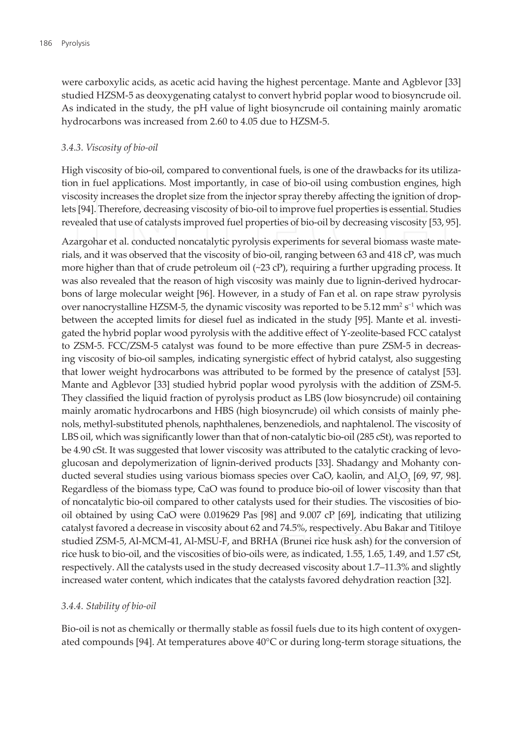were carboxylic acids, as acetic acid having the highest percentage. Mante and Agblevor [33] studied HZSM-5 as deoxygenating catalyst to convert hybrid poplar wood to biosyncrude oil. As indicated in the study, the pH value of light biosyncrude oil containing mainly aromatic hydrocarbons was increased from 2.60 to 4.05 due to HZSM-5.

#### 3.4.3. Viscosity of bio-oil

High viscosity of bio-oil, compared to conventional fuels, is one of the drawbacks for its utilization in fuel applications. Most importantly, in case of bio-oil using combustion engines, high viscosity increases the droplet size from the injector spray thereby affecting the ignition of droplets [94]. Therefore, decreasing viscosity of bio-oil to improve fuel properties is essential. Studies revealed that use of catalysts improved fuel properties of bio-oil by decreasing viscosity [53, 95].

Azargohar et al. conducted noncatalytic pyrolysis experiments for several biomass waste materials, and it was observed that the viscosity of bio-oil, ranging between 63 and 418 cP, was much more higher than that of crude petroleum oil  $(\sim 23 \text{ cP})$ , requiring a further upgrading process. It was also revealed that the reason of high viscosity was mainly due to lignin-derived hydrocarbons of large molecular weight [96]. However, in a study of Fan et al. on rape straw pyrolysis over nanocrystalline HZSM-5, the dynamic viscosity was reported to be 5.12 mm<sup>2</sup> s<sup>-1</sup> which was between the accepted limits for diesel fuel as indicated in the study [95]. Mante et al. investigated the hybrid poplar wood pyrolysis with the additive effect of Y-zeolite-based FCC catalyst to ZSM-5. FCC/ZSM-5 catalyst was found to be more effective than pure ZSM-5 in decreasing viscosity of bio-oil samples, indicating synergistic effect of hybrid catalyst, also suggesting that lower weight hydrocarbons was attributed to be formed by the presence of catalyst [53]. Mante and Agblevor [33] studied hybrid poplar wood pyrolysis with the addition of ZSM-5. They classified the liquid fraction of pyrolysis product as LBS (low biosyncrude) oil containing mainly aromatic hydrocarbons and HBS (high biosyncrude) oil which consists of mainly phenols, methyl-substituted phenols, naphthalenes, benzenediols, and naphtalenol. The viscosity of LBS oil, which was significantly lower than that of non-catalytic bio-oil (285 cSt), was reported to be 4.90 cSt. It was suggested that lower viscosity was attributed to the catalytic cracking of levoglucosan and depolymerization of lignin-derived products [33]. Shadangy and Mohanty conducted several studies using various biomass species over CaO, kaolin, and Al,O<sub>3</sub> [69, 97, 98]. Regardless of the biomass type, CaO was found to produce bio-oil of lower viscosity than that of noncatalytic bio-oil compared to other catalysts used for their studies. The viscosities of biooil obtained by using CaO were 0.019629 Pas [98] and 9.007 cP [69], indicating that utilizing catalyst favored a decrease in viscosity about 62 and 74.5%, respectively. Abu Bakar and Titiloye studied ZSM-5, Al-MCM-41, Al-MSU-F, and BRHA (Brunei rice husk ash) for the conversion of rice husk to bio-oil, and the viscosities of bio-oils were, as indicated, 1.55, 1.65, 1.49, and 1.57 cSt, respectively. All the catalysts used in the study decreased viscosity about 1.7-11.3% and slightly increased water content, which indicates that the catalysts favored dehydration reaction [32].

#### 3.4.4. Stability of bio-oil

Bio-oil is not as chemically or thermally stable as fossil fuels due to its high content of oxygenated compounds [94]. At temperatures above 40°C or during long-term storage situations, the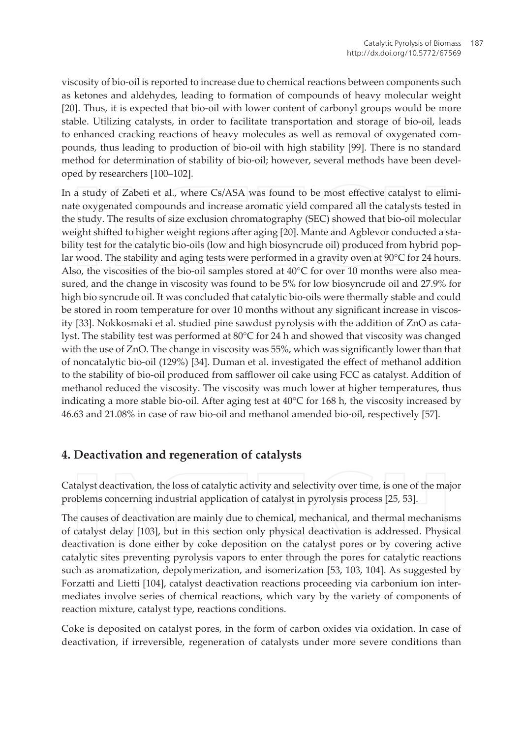viscosity of bio-oil is reported to increase due to chemical reactions between components such as ketones and aldehydes, leading to formation of compounds of heavy molecular weight [20]. Thus, it is expected that bio-oil with lower content of carbonyl groups would be more stable. Utilizing catalysts, in order to facilitate transportation and storage of bio-oil, leads to enhanced cracking reactions of heavy molecules as well as removal of oxygenated compounds, thus leading to production of bio-oil with high stability [99]. There is no standard method for determination of stability of bio-oil; however, several methods have been developed by researchers [100-102].

In a study of Zabeti et al., where Cs/ASA was found to be most effective catalyst to eliminate oxygenated compounds and increase aromatic yield compared all the catalysts tested in the study. The results of size exclusion chromatography (SEC) showed that bio-oil molecular weight shifted to higher weight regions after aging [20]. Mante and Agblevor conducted a stability test for the catalytic bio-oils (low and high biosyncrude oil) produced from hybrid poplar wood. The stability and aging tests were performed in a gravity oven at  $90^{\circ}$ C for 24 hours. Also, the viscosities of the bio-oil samples stored at  $40^{\circ}$ C for over 10 months were also measured, and the change in viscosity was found to be 5% for low biosyncrude oil and 27.9% for high bio syncrude oil. It was concluded that catalytic bio-oils were thermally stable and could be stored in room temperature for over 10 months without any significant increase in viscosity [33]. Nokkosmaki et al. studied pine sawdust pyrolysis with the addition of ZnO as catalyst. The stability test was performed at 80°C for 24 h and showed that viscosity was changed with the use of ZnO. The change in viscosity was 55%, which was significantly lower than that of noncatalytic bio-oil (129%) [34]. Duman et al. investigated the effect of methanol addition to the stability of bio-oil produced from safflower oil cake using FCC as catalyst. Addition of methanol reduced the viscosity. The viscosity was much lower at higher temperatures, thus indicating a more stable bio-oil. After aging test at 40°C for 168 h, the viscosity increased by 46.63 and 21.08% in case of raw bio-oil and methanol amended bio-oil, respectively [57].

## 4. Deactivation and regeneration of catalysts

Catalyst deactivation, the loss of catalytic activity and selectivity over time, is one of the major problems concerning industrial application of catalyst in pyrolysis process [25, 53].

The causes of deactivation are mainly due to chemical, mechanical, and thermal mechanisms of catalyst delay [103], but in this section only physical deactivation is addressed. Physical deactivation is done either by coke deposition on the catalyst pores or by covering active catalytic sites preventing pyrolysis vapors to enter through the pores for catalytic reactions such as aromatization, depolymerization, and isomerization [53, 103, 104]. As suggested by Forzatti and Lietti [104], catalyst deactivation reactions proceeding via carbonium ion intermediates involve series of chemical reactions, which vary by the variety of components of reaction mixture, catalyst type, reactions conditions.

Coke is deposited on catalyst pores, in the form of carbon oxides via oxidation. In case of deactivation, if irreversible, regeneration of catalysts under more severe conditions than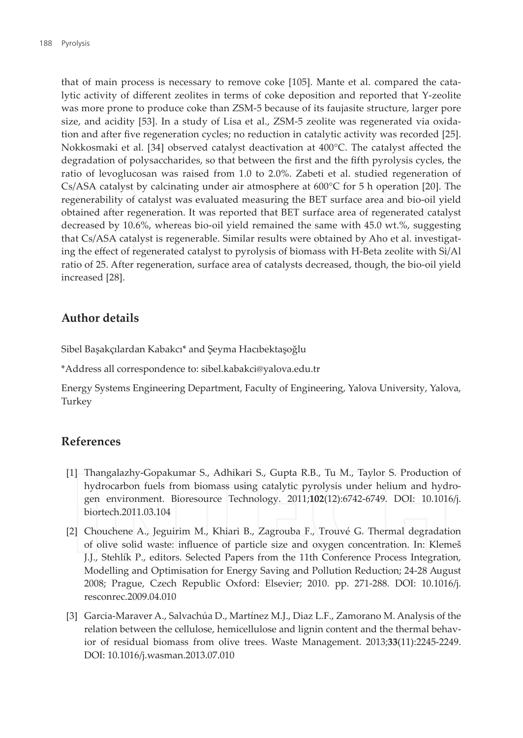that of main process is necessary to remove coke [105]. Mante et al. compared the catalytic activity of different zeolites in terms of coke deposition and reported that Y-zeolite was more prone to produce coke than ZSM-5 because of its faujasite structure, larger pore size, and acidity [53]. In a study of Lisa et al., ZSM-5 zeolite was regenerated via oxidation and after five regeneration cycles; no reduction in catalytic activity was recorded [25]. Nokkosmaki et al. [34] observed catalyst deactivation at 400°C. The catalyst affected the degradation of polysaccharides, so that between the first and the fifth pyrolysis cycles, the ratio of levoglucosan was raised from 1.0 to 2.0%. Zabeti et al. studied regeneration of  $Cs/ASA$  catalyst by calcinating under air atmosphere at  $600^{\circ}C$  for 5 h operation [20]. The regenerability of catalyst was evaluated measuring the BET surface area and bio-oil yield obtained after regeneration. It was reported that BET surface area of regenerated catalyst decreased by 10.6%, whereas bio-oil yield remained the same with 45.0 wt.%, suggesting that Cs/ASA catalyst is regenerable. Similar results were obtained by Aho et al. investigating the effect of regenerated catalyst to pyrolysis of biomass with H-Beta zeolite with Si/Al ratio of 25. After regeneration, surface area of catalysts decreased, though, the bio-oil yield increased [28].

## Author details

Sibel Başakçılardan Kabakcı\* and Şeyma Hacıbektaşoğlu

\*Address all correspondence to: sibel.kabakci@yalova.edu.tr

Energy Systems Engineering Department, Faculty of Engineering, Yalova University, Yalova, Turkey

## **References**

- [1] Thangalazhy-Gopakumar S., Adhikari S., Gupta R.B., Tu M., Taylor S. Production of hydrocarbon fuels from biomass using catalytic pyrolysis under helium and hydrogen environment. Bioresource Technology. 2011;102(12):6742-6749. DOI: 10.1016/j. biortech.2011.03.104
- [2] Chouchene A., Jeguirim M., Khiari B., Zagrouba F., Trouvé G. Thermal degradation of olive solid waste: influence of particle size and oxygen concentration. In: Klemeš J.J., Stehlík P., editors. Selected Papers from the 11th Conference Process Integration, Modelling and Optimisation for Energy Saving and Pollution Reduction; 24-28 August 2008; Prague, Czech Republic Oxford: Elsevier; 2010. pp. 271-288. DOI: 10.1016/j. resconrec.2009.04.010
- [3] Garcia-Maraver A., Salvachúa D., Martínez M.J., Diaz L.F., Zamorano M. Analysis of the relation between the cellulose, hemicellulose and lignin content and the thermal behavior of residual biomass from olive trees. Waste Management. 2013;33(11):2245-2249. DOI: 10.1016/j.wasman.2013.07.010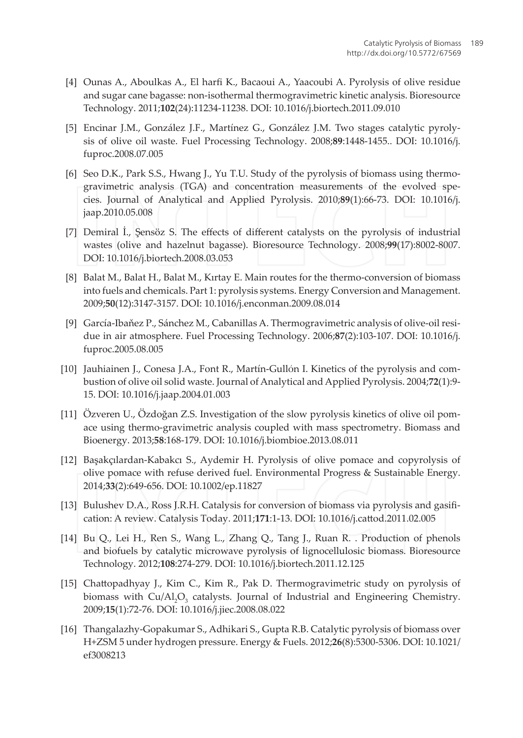- [4] Ounas A., Aboulkas A., El harfi K., Bacaoui A., Yaacoubi A. Pyrolysis of olive residue and sugar cane bagasse: non-isothermal thermogravimetric kinetic analysis. Bioresource Technology. 2011;102(24):11234-11238. DOI: 10.1016/j.biortech.2011.09.010
- [5] Encinar J.M., González J.F., Martínez G., González J.M. Two stages catalytic pyrolysis of olive oil waste. Fuel Processing Technology. 2008;89:1448-1455.. DOI: 10.1016/j. fuproc.2008.07.005
- [6] Seo D.K., Park S.S., Hwang J., Yu T.U. Study of the pyrolysis of biomass using thermogravimetric analysis (TGA) and concentration measurements of the evolved species. Journal of Analytical and Applied Pyrolysis. 2010;89(1):66-73. DOI: 10.1016/j. jaap.2010.05.008
- [7] Demiral I., Sensöz S. The effects of different catalysts on the pyrolysis of industrial wastes (olive and hazelnut bagasse). Bioresource Technology. 2008;99(17):8002-8007. DOI: 10.1016/j.biortech.2008.03.053
- [8] Balat M., Balat H., Balat M., Kırtay E. Main routes for the thermo-conversion of biomass into fuels and chemicals. Part 1: pyrolysis systems. Energy Conversion and Management. 2009;50(12):3147-3157. DOI: 10.1016/j.enconman.2009.08.014
- [9] García-Ibaňez P., Sánchez M., Cabanillas A. Thermogravimetric analysis of olive-oil residue in air atmosphere. Fuel Processing Technology. 2006;87(2):103-107. DOI: 10.1016/j. fuproc.2005.08.005
- [10] Jauhiainen J., Conesa J.A., Font R., Martín-Gullón I. Kinetics of the pyrolysis and combustion of olive oil solid waste. Journal of Analytical and Applied Pyrolysis. 2004;72(1):9-15. DOI: 10.1016/j.jaap.2004.01.003
- [11] Özveren U., Özdoğan Z.S. Investigation of the slow pyrolysis kinetics of olive oil pomace using thermo-gravimetric analysis coupled with mass spectrometry. Biomass and Bioenergy. 2013;58:168-179. DOI: 10.1016/j.biombioe.2013.08.011
- [12] Başakçılardan-Kabakcı S., Aydemir H. Pyrolysis of olive pomace and copyrolysis of olive pomace with refuse derived fuel. Environmental Progress & Sustainable Energy. 2014;33(2):649-656. DOI: 10.1002/ep.11827
- [13] Bulushev D.A., Ross J.R.H. Catalysis for conversion of biomass via pyrolysis and gasification: A review. Catalysis Today. 2011;171:1-13. DOI: 10.1016/j.cattod.2011.02.005
- [14] Bu Q., Lei H., Ren S., Wang L., Zhang Q., Tang J., Ruan R. . Production of phenols and biofuels by catalytic microwave pyrolysis of lignocellulosic biomass. Bioresource Technology. 2012;108:274-279. DOI: 10.1016/j.biortech.2011.12.125
- [15] Chattopadhyay J., Kim C., Kim R., Pak D. Thermogravimetric study on pyrolysis of biomass with Cu/Al,O<sub>3</sub> catalysts. Journal of Industrial and Engineering Chemistry. 2009;15(1):72-76. DOI: 10.1016/j.jiec.2008.08.022
- [16] Thangalazhy-Gopakumar S., Adhikari S., Gupta R.B. Catalytic pyrolysis of biomass over H+ZSM 5 under hydrogen pressure. Energy & Fuels. 2012;26(8):5300-5306. DOI: 10.1021/ ef3008213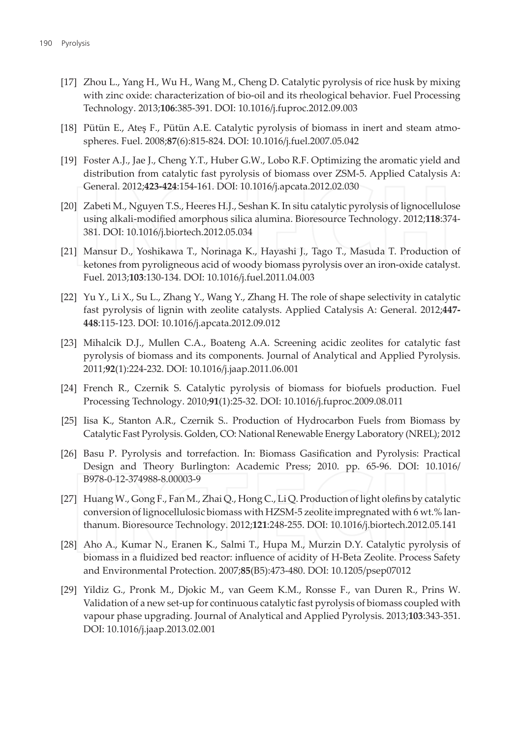- [17] Zhou L., Yang H., Wu H., Wang M., Cheng D. Catalytic pyrolysis of rice husk by mixing with zinc oxide: characterization of bio-oil and its rheological behavior. Fuel Processing Technology. 2013;106:385-391. DOI: 10.1016/j.fuproc.2012.09.003
- [18] Pütün E., Ates F., Pütün A.E. Catalytic pyrolysis of biomass in inert and steam atmospheres. Fuel. 2008;87(6):815-824. DOI: 10.1016/j.fuel.2007.05.042
- [19] Foster A.J., Jae J., Cheng Y.T., Huber G.W., Lobo R.F. Optimizing the aromatic yield and distribution from catalytic fast pyrolysis of biomass over ZSM-5. Applied Catalysis A: General. 2012;423-424:154-161. DOI: 10.1016/j.apcata.2012.02.030
- [20] Zabeti M., Nguyen T.S., Heeres H.J., Seshan K. In situ catalytic pyrolysis of lignocellulose using alkali-modified amorphous silica alumina. Bioresource Technology. 2012;118:374-381. DOI: 10.1016/j.biortech.2012.05.034
- [21] Mansur D., Yoshikawa T., Norinaga K., Hayashi J., Tago T., Masuda T. Production of ketones from pyroligneous acid of woody biomass pyrolysis over an iron-oxide catalyst. Fuel. 2013;103:130-134. DOI: 10.1016/j.fuel.2011.04.003
- [22] Yu Y., Li X., Su L., Zhang Y., Wang Y., Zhang H. The role of shape selectivity in catalytic fast pyrolysis of lignin with zeolite catalysts. Applied Catalysis A: General. 2012;447-448:115-123. DOI: 10.1016/j.apcata.2012.09.012
- [23] Mihalcik D.J., Mullen C.A., Boateng A.A. Screening acidic zeolites for catalytic fast pyrolysis of biomass and its components. Journal of Analytical and Applied Pyrolysis. 2011;92(1):224-232. DOI: 10.1016/j.jaap.2011.06.001
- [24] French R., Czernik S. Catalytic pyrolysis of biomass for biofuels production. Fuel Processing Technology. 2010;91(1):25-32. DOI: 10.1016/j.fuproc.2009.08.011
- [25] Iisa K., Stanton A.R., Czernik S.. Production of Hydrocarbon Fuels from Biomass by Catalytic Fast Pyrolysis. Golden, CO: National Renewable Energy Laboratory (NREL); 2012
- [26] Basu P. Pyrolysis and torrefaction. In: Biomass Gasification and Pyrolysis: Practical Design and Theory Burlington: Academic Press; 2010. pp. 65-96. DOI: 10.1016/ B978-0-12-374988-8.00003-9
- [27] Huang W., Gong F., Fan M., Zhai Q., Hong C., Li Q. Production of light olefins by catalytic conversion of lignocellulosic biomass with HZSM-5 zeolite impregnated with 6 wt.% lanthanum. Bioresource Technology. 2012;121:248-255. DOI: 10.1016/j.biortech.2012.05.141
- [28] Aho A., Kumar N., Eranen K., Salmi T., Hupa M., Murzin D.Y. Catalytic pyrolysis of biomass in a fluidized bed reactor: influence of acidity of H-Beta Zeolite. Process Safety and Environmental Protection. 2007;85(B5):473-480. DOI: 10.1205/psep07012
- [29] Yildiz G., Pronk M., Djokic M., van Geem K.M., Ronsse F., van Duren R., Prins W. Validation of a new set-up for continuous catalytic fast pyrolysis of biomass coupled with vapour phase upgrading. Journal of Analytical and Applied Pyrolysis. 2013;103:343-351. DOI: 10.1016/j.jaap.2013.02.001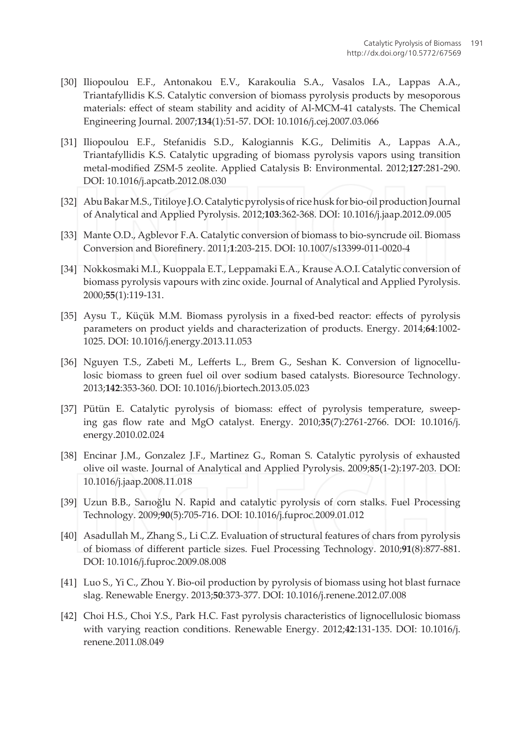- [30] Iliopoulou E.F., Antonakou E.V., Karakoulia S.A., Vasalos I.A., Lappas A.A., Triantafyllidis K.S. Catalytic conversion of biomass pyrolysis products by mesoporous materials: effect of steam stability and acidity of Al-MCM-41 catalysts. The Chemical Engineering Journal. 2007;134(1):51-57. DOI: 10.1016/j.cej.2007.03.066
- [31] Iliopoulou E.F., Stefanidis S.D., Kalogiannis K.G., Delimitis A., Lappas A.A., Triantafyllidis K.S. Catalytic upgrading of biomass pyrolysis vapors using transition metal-modified ZSM-5 zeolite. Applied Catalysis B: Environmental. 2012;127:281-290. DOI: 10.1016/j.apcatb.2012.08.030
- [32] Abu Bakar M.S., Titiloye J.O. Catalytic pyrolysis of rice husk for bio-oil production Journal of Analytical and Applied Pyrolysis. 2012;103:362-368. DOI: 10.1016/j.jaap.2012.09.005
- [33] Mante O.D., Agblevor F.A. Catalytic conversion of biomass to bio-syncrude oil. Biomass Conversion and Biorefinery. 2011;1:203-215. DOI: 10.1007/s13399-011-0020-4
- [34] Nokkosmaki M.I., Kuoppala E.T., Leppamaki E.A., Krause A.O.I. Catalytic conversion of biomass pyrolysis vapours with zinc oxide. Journal of Analytical and Applied Pyrolysis. 2000;55(1):119-131.
- [35] Aysu T., Küçük M.M. Biomass pyrolysis in a fixed-bed reactor: effects of pyrolysis parameters on product yields and characterization of products. Energy. 2014;64:1002-1025. DOI: 10.1016/j.energy.2013.11.053
- [36] Nguyen T.S., Zabeti M., Lefferts L., Brem G., Seshan K. Conversion of lignocellulosic biomass to green fuel oil over sodium based catalysts. Bioresource Technology. 2013;142:353-360. DOI: 10.1016/j.biortech.2013.05.023
- [37] Pütün E. Catalytic pyrolysis of biomass: effect of pyrolysis temperature, sweeping gas flow rate and MgO catalyst. Energy. 2010;35(7):2761-2766. DOI: 10.1016/i. energy.2010.02.024
- [38] Encinar J.M., Gonzalez J.F., Martinez G., Roman S. Catalytic pyrolysis of exhausted olive oil waste. Journal of Analytical and Applied Pyrolysis. 2009;85(1-2):197-203. DOI: 10.1016/j.jaap.2008.11.018
- [39] Uzun B.B., Sarıoğlu N. Rapid and catalytic pyrolysis of corn stalks. Fuel Processing Technology. 2009;90(5):705-716. DOI: 10.1016/j.fuproc.2009.01.012
- [40] Asadullah M., Zhang S., Li C.Z. Evaluation of structural features of chars from pyrolysis of biomass of different particle sizes. Fuel Processing Technology. 2010;91(8):877-881. DOI: 10.1016/j.fuproc.2009.08.008
- [41] Luo S., Yi C., Zhou Y. Bio-oil production by pyrolysis of biomass using hot blast furnace slag. Renewable Energy. 2013;50:373-377. DOI: 10.1016/j.renene.2012.07.008
- [42] Choi H.S., Choi Y.S., Park H.C. Fast pyrolysis characteristics of lignocellulosic biomass with varying reaction conditions. Renewable Energy. 2012;42:131-135. DOI: 10.1016/j. renene.2011.08.049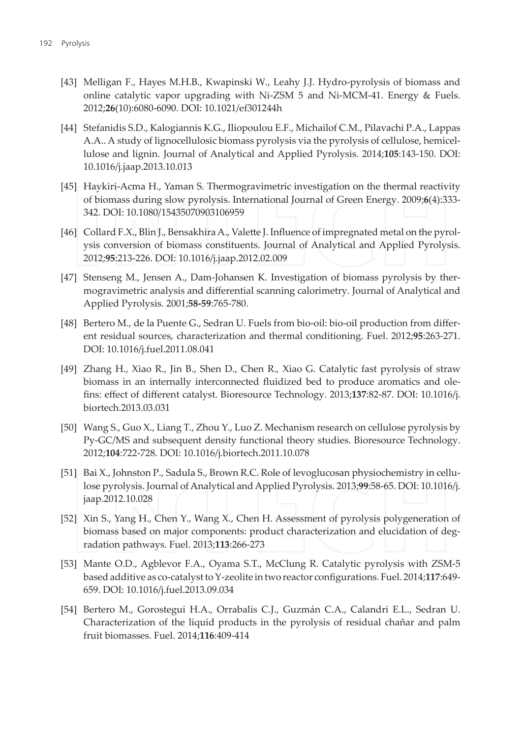- [43] Melligan F., Hayes M.H.B., Kwapinski W., Leahy J.J. Hydro-pyrolysis of biomass and online catalytic vapor upgrading with Ni-ZSM 5 and Ni-MCM-41. Energy & Fuels. 2012;26(10):6080-6090. DOI: 10.1021/ef301244h
- [44] Stefanidis S.D., Kalogiannis K.G., Iliopoulou E.F., Michailof C.M., Pilavachi P.A., Lappas A.A., A study of lignocellulosic biomass pyrolysis via the pyrolysis of cellulose, hemicellulose and lignin. Journal of Analytical and Applied Pyrolysis. 2014;105:143-150. DOI: 10.1016/j.jaap.2013.10.013
- [45] Haykiri-Acma H., Yaman S. Thermogravimetric investigation on the thermal reactivity of biomass during slow pyrolysis. International Journal of Green Energy. 2009;6(4):333-342. DOI: 10.1080/15435070903106959
- [46] Collard F.X., Blin J., Bensakhira A., Valette J. Influence of impregnated metal on the pyrolysis conversion of biomass constituents. Journal of Analytical and Applied Pyrolysis. 2012;95:213-226. DOI: 10.1016/j.jaap.2012.02.009
- [47] Stenseng M., Jensen A., Dam-Johansen K. Investigation of biomass pyrolysis by thermogravimetric analysis and differential scanning calorimetry. Journal of Analytical and Applied Pyrolysis. 2001;58-59:765-780.
- [48] Bertero M., de la Puente G., Sedran U. Fuels from bio-oil: bio-oil production from different residual sources, characterization and thermal conditioning. Fuel. 2012;95:263-271. DOI: 10.1016/j.fuel.2011.08.041
- [49] Zhang H., Xiao R., Jin B., Shen D., Chen R., Xiao G. Catalytic fast pyrolysis of straw biomass in an internally interconnected fluidized bed to produce aromatics and olefins: effect of different catalyst. Bioresource Technology. 2013;137:82-87. DOI: 10.1016/j. biortech.2013.03.031
- [50] Wang S., Guo X., Liang T., Zhou Y., Luo Z. Mechanism research on cellulose pyrolysis by Py-GC/MS and subsequent density functional theory studies. Bioresource Technology. 2012;104:722-728. DOI: 10.1016/j.biortech.2011.10.078
- [51] Bai X., Johnston P., Sadula S., Brown R.C. Role of levoglucosan physiochemistry in cellulose pyrolysis. Journal of Analytical and Applied Pyrolysis. 2013;99:58-65. DOI: 10.1016/j. jaap.2012.10.028
- [52] Xin S., Yang H., Chen Y., Wang X., Chen H. Assessment of pyrolysis polygeneration of biomass based on major components: product characterization and elucidation of degradation pathways. Fuel. 2013;113:266-273
- [53] Mante O.D., Agblevor F.A., Oyama S.T., McClung R. Catalytic pyrolysis with ZSM-5 based additive as co-catalyst to Y-zeolite in two reactor configurations. Fuel. 2014;117:649-659. DOI: 10.1016/j.fuel.2013.09.034
- [54] Bertero M., Gorostegui H.A., Orrabalis C.J., Guzmán C.A., Calandri E.L., Sedran U. Characterization of the liquid products in the pyrolysis of residual chañar and palm fruit biomasses. Fuel. 2014;116:409-414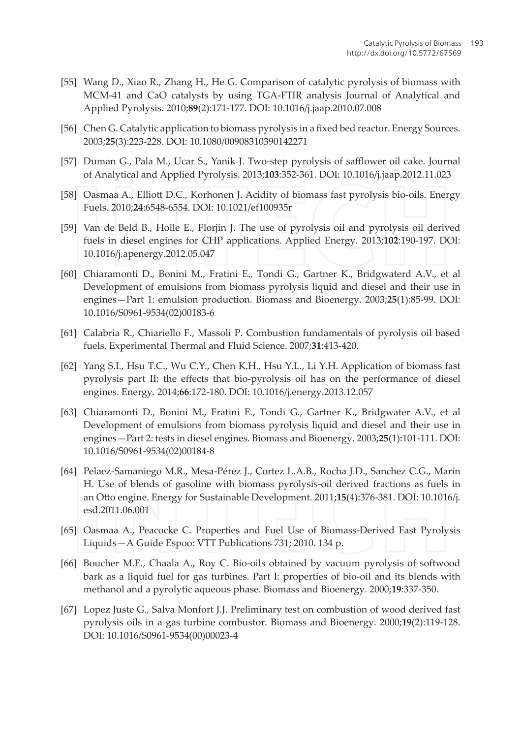- [55] Wang D., Xiao R., Zhang H., He G. Comparison of catalytic pyrolysis of biomass with MCM-41 and CaO catalysts by using TGA-FTIR analysis Journal of Analytical and Applied Pyrolysis. 2010;89(2):171-177. DOI: 10.1016/j.jaap.2010.07.008
- [56] Chen G. Catalytic application to biomass pyrolysis in a fixed bed reactor. Energy Sources. 2003;25(3):223-228. DOI: 10.1080/00908310390142271
- [57] Duman G., Pala M., Ucar S., Yanik J. Two-step pyrolysis of safflower oil cake. Journal of Analytical and Applied Pyrolysis. 2013;103:352-361. DOI: 10.1016/j.jaap.2012.11.023
- [58] Oasmaa A., Elliott D.C., Korhonen J. Acidity of biomass fast pyrolysis bio-oils. Energy Fuels. 2010;24:6548-6554. DOI: 10.1021/ef100935r
- [59] Van de Beld B., Holle E., Florjin J. The use of pyrolysis oil and pyrolysis oil derived fuels in diesel engines for CHP applications. Applied Energy. 2013;102:190-197. DOI: 10.1016/j.apenergy.2012.05.047
- [60] Chiaramonti D., Bonini M., Fratini E., Tondi G., Gartner K., Bridgwaterd A.V., et al Development of emulsions from biomass pyrolysis liquid and diesel and their use in engines-Part 1: emulsion production. Biomass and Bioenergy. 2003;25(1):85-99. DOI: 10.1016/S0961-9534(02)00183-6
- [61] Calabria R., Chiariello F., Massoli P. Combustion fundamentals of pyrolysis oil based fuels. Experimental Thermal and Fluid Science. 2007;31:413-420.
- [62] Yang S.I., Hsu T.C., Wu C.Y., Chen K.H., Hsu Y.L., Li Y.H. Application of biomass fast pyrolysis part II: the effects that bio-pyrolysis oil has on the performance of diesel engines. Energy. 2014;66:172-180. DOI: 10.1016/j.energy.2013.12.057
- [63] Chiaramonti D., Bonini M., Fratini E., Tondi G., Gartner K., Bridgwater A.V., et al Development of emulsions from biomass pyrolysis liquid and diesel and their use in engines-Part 2: tests in diesel engines. Biomass and Bioenergy. 2003;25(1):101-111. DOI: 10.1016/S0961-9534(02)00184-8
- [64] Pelaez-Samaniego M.R., Mesa-Pérez J., Cortez L.A.B., Rocha J.D., Sanchez C.G., Marín H. Use of blends of gasoline with biomass pyrolysis-oil derived fractions as fuels in an Otto engine. Energy for Sustainable Development. 2011;15(4):376-381. DOI: 10.1016/j. esd.2011.06.001
- [65] Oasmaa A., Peacocke C. Properties and Fuel Use of Biomass-Derived Fast Pyrolysis Liquids - A Guide Espoo: VTT Publications 731; 2010. 134 p.
- [66] Boucher M.E., Chaala A., Roy C. Bio-oils obtained by vacuum pyrolysis of softwood bark as a liquid fuel for gas turbines. Part I: properties of bio-oil and its blends with methanol and a pyrolytic aqueous phase. Biomass and Bioenergy. 2000;19:337-350.
- [67] Lopez Juste G., Salva Monfort J.J. Preliminary test on combustion of wood derived fast pyrolysis oils in a gas turbine combustor. Biomass and Bioenergy. 2000;19(2):119-128. DOI: 10.1016/S0961-9534(00)00023-4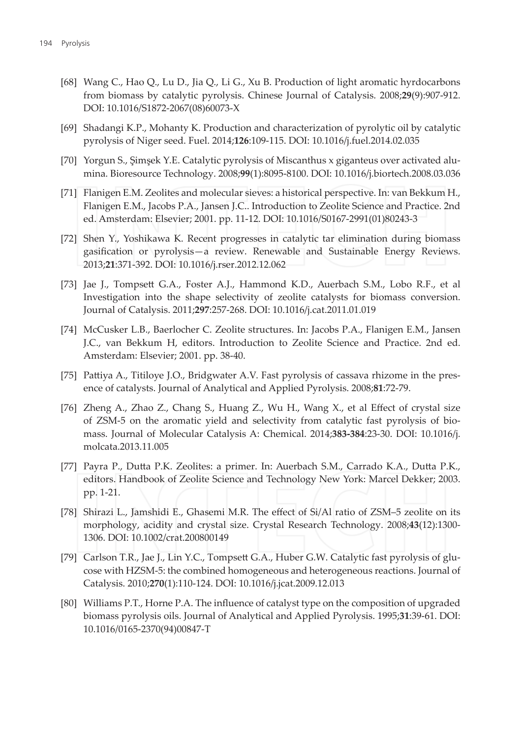- [68] Wang C., Hao Q., Lu D., Jia Q., Li G., Xu B. Production of light aromatic hyrdocarbons from biomass by catalytic pyrolysis. Chinese Journal of Catalysis. 2008;29(9):907-912. DOI: 10.1016/S1872-2067(08)60073-X
- [69] Shadangi K.P., Mohanty K. Production and characterization of pyrolytic oil by catalytic pyrolysis of Niger seed. Fuel. 2014;126:109-115. DOI: 10.1016/j.fuel.2014.02.035
- [70] Yorgun S., Şimşek Y.E. Catalytic pyrolysis of Miscanthus x giganteus over activated alumina. Bioresource Technology. 2008;99(1):8095-8100. DOI: 10.1016/j.biortech.2008.03.036
- [71] Flanigen E.M. Zeolites and molecular sieves: a historical perspective. In: van Bekkum H., Flanigen E.M., Jacobs P.A., Jansen J.C.. Introduction to Zeolite Science and Practice. 2nd ed. Amsterdam: Elsevier; 2001. pp. 11-12. DOI: 10.1016/S0167-2991(01)80243-3
- [72] Shen Y., Yoshikawa K. Recent progresses in catalytic tar elimination during biomass gasification or pyrolysis-a review. Renewable and Sustainable Energy Reviews. 2013;21:371-392. DOI: 10.1016/j.rser.2012.12.062
- [73] Jae J., Tompsett G.A., Foster A.J., Hammond K.D., Auerbach S.M., Lobo R.F., et al Investigation into the shape selectivity of zeolite catalysts for biomass conversion. Journal of Catalysis. 2011;297:257-268. DOI: 10.1016/j.cat.2011.01.019
- [74] McCusker L.B., Baerlocher C. Zeolite structures. In: Jacobs P.A., Flanigen E.M., Jansen J.C., van Bekkum H, editors. Introduction to Zeolite Science and Practice. 2nd ed. Amsterdam: Elsevier; 2001. pp. 38-40.
- [75] Pattiya A., Titiloye J.O., Bridgwater A.V. Fast pyrolysis of cassava rhizome in the presence of catalysts. Journal of Analytical and Applied Pyrolysis. 2008;81:72-79.
- [76] Zheng A., Zhao Z., Chang S., Huang Z., Wu H., Wang X., et al Effect of crystal size of ZSM-5 on the aromatic yield and selectivity from catalytic fast pyrolysis of biomass. Journal of Molecular Catalysis A: Chemical. 2014;383-384:23-30. DOI: 10.1016/j. molcata.2013.11.005
- [77] Payra P., Dutta P.K. Zeolites: a primer. In: Auerbach S.M., Carrado K.A., Dutta P.K., editors. Handbook of Zeolite Science and Technology New York: Marcel Dekker; 2003. pp. 1-21.
- [78] Shirazi L., Jamshidi E., Ghasemi M.R. The effect of Si/Al ratio of ZSM-5 zeolite on its morphology, acidity and crystal size. Crystal Research Technology. 2008;43(12):1300-1306. DOI: 10.1002/crat.200800149
- [79] Carlson T.R., Jae J., Lin Y.C., Tompsett G.A., Huber G.W. Catalytic fast pyrolysis of glucose with HZSM-5: the combined homogeneous and heterogeneous reactions. Journal of Catalysis. 2010;270(1):110-124. DOI: 10.1016/j.jcat.2009.12.013
- [80] Williams P.T., Horne P.A. The influence of catalyst type on the composition of upgraded biomass pyrolysis oils. Journal of Analytical and Applied Pyrolysis. 1995;31:39-61. DOI: 10.1016/0165-2370(94)00847-T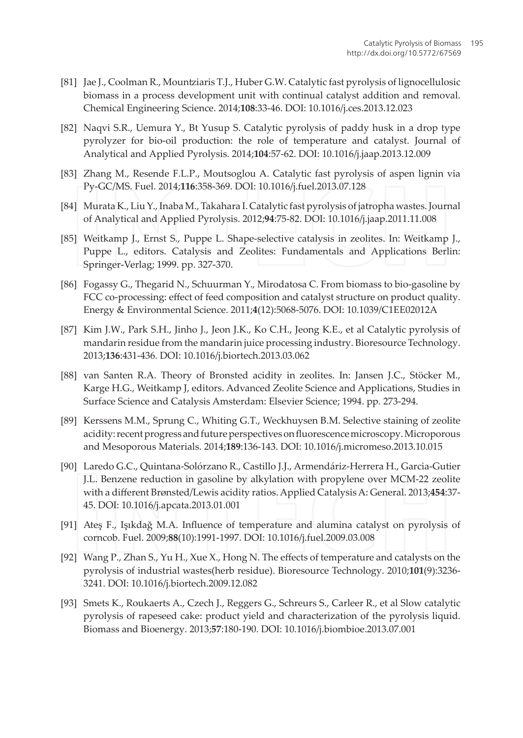- [81] Jae J., Coolman R., Mountziaris T.J., Huber G.W. Catalytic fast pyrolysis of lignocellulosic biomass in a process development unit with continual catalyst addition and removal. Chemical Engineering Science. 2014;108:33-46. DOI: 10.1016/j.ces.2013.12.023
- [82] Naqvi S.R., Uemura Y., Bt Yusup S. Catalytic pyrolysis of paddy husk in a drop type pyrolyzer for bio-oil production: the role of temperature and catalyst. Journal of Analytical and Applied Pyrolysis. 2014;104:57-62. DOI: 10.1016/j.jaap.2013.12.009
- [83] Zhang M., Resende F.L.P., Moutsoglou A. Catalytic fast pyrolysis of aspen lignin via Py-GC/MS. Fuel. 2014;116:358-369. DOI: 10.1016/j.fuel.2013.07.128
- [84] Murata K., Liu Y., Inaba M., Takahara I. Catalytic fast pyrolysis of jatropha wastes. Journal of Analytical and Applied Pyrolysis. 2012;94:75-82. DOI: 10.1016/j.jaap.2011.11.008
- [85] Weitkamp J., Ernst S., Puppe L. Shape-selective catalysis in zeolites. In: Weitkamp J., Puppe L., editors. Catalysis and Zeolites: Fundamentals and Applications Berlin: Springer-Verlag; 1999. pp. 327-370.
- [86] Fogassy G., Thegarid N., Schuurman Y., Mirodatosa C. From biomass to bio-gasoline by FCC co-processing: effect of feed composition and catalyst structure on product quality. Energy & Environmental Science. 2011;4(12):5068-5076. DOI: 10.1039/C1EE02012A
- [87] Kim J.W., Park S.H., Jinho J., Jeon J.K., Ko C.H., Jeong K.E., et al Catalytic pyrolysis of mandarin residue from the mandarin juice processing industry. Bioresource Technology. 2013;136:431-436. DOI: 10.1016/j.biortech.2013.03.062
- [88] van Santen R.A. Theory of Bronsted acidity in zeolites. In: Jansen J.C., Stöcker M., Karge H.G., Weitkamp J, editors. Advanced Zeolite Science and Applications, Studies in Surface Science and Catalysis Amsterdam: Elsevier Science; 1994. pp. 273-294.
- [89] Kerssens M.M., Sprung C., Whiting G.T., Weckhuysen B.M. Selective staining of zeolite acidity: recent progress and future perspectives on fluorescence microscopy. Microporous and Mesoporous Materials. 2014;189:136-143. DOI: 10.1016/j.micromeso.2013.10.015
- [90] Laredo G.C., Quintana-Solórzano R., Castillo J.J., Armendáriz-Herrera H., Garcia-Gutier J.L. Benzene reduction in gasoline by alkylation with propylene over MCM-22 zeolite with a different Brønsted/Lewis acidity ratios. Applied Catalysis A: General. 2013;454:37-45. DOI: 10.1016/j.apcata.2013.01.001
- [91] Ates F., Isıkdağ M.A. Influence of temperature and alumina catalyst on pyrolysis of corncob. Fuel. 2009;88(10):1991-1997. DOI: 10.1016/j.fuel.2009.03.008
- [92] Wang P., Zhan S., Yu H., Xue X., Hong N. The effects of temperature and catalysts on the pyrolysis of industrial wastes(herb residue). Bioresource Technology. 2010;101(9):3236-3241. DOI: 10.1016/j.biortech.2009.12.082
- [93] Smets K., Roukaerts A., Czech J., Reggers G., Schreurs S., Carleer R., et al Slow catalytic pyrolysis of rapeseed cake: product yield and characterization of the pyrolysis liquid. Biomass and Bioenergy. 2013;57:180-190. DOI: 10.1016/j.biombioe.2013.07.001